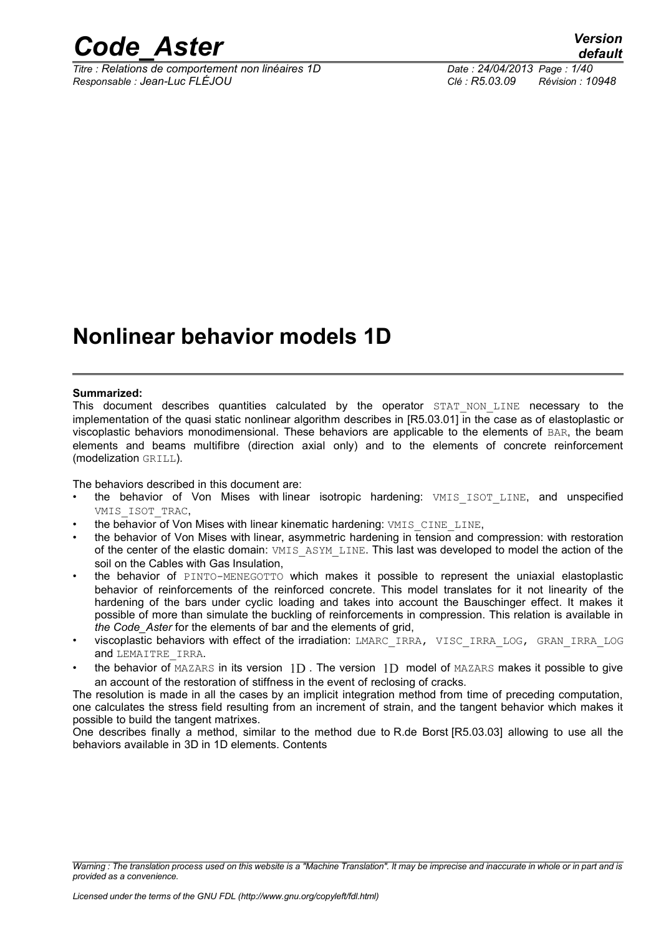*Titre : Relations de comportement non linéaires 1D Date : 24/04/2013 Page : 1/40 Responsable : Jean-Luc FLÉJOU Clé : R5.03.09 Révision : 10948*

*default*

## **Nonlinear behavior models 1D**

#### **Summarized:**

This document describes quantities calculated by the operator STAT NON LINE necessary to the implementation of the quasi static nonlinear algorithm describes in [R5.03.01] in the case as of elastoplastic or viscoplastic behaviors monodimensional. These behaviors are applicable to the elements of BAR, the beam elements and beams multifibre (direction axial only) and to the elements of concrete reinforcement (modelization GRILL).

The behaviors described in this document are:

- the behavior of Von Mises with linear isotropic hardening: VMIS ISOT LINE, and unspecified VMIS\_ISOT\_TRAC,
- the behavior of Von Mises with linear kinematic hardening: VMIS\_CINE\_LINE,
- the behavior of Von Mises with linear, asymmetric hardening in tension and compression: with restoration of the center of the elastic domain: VMIS\_ASYM\_LINE. This last was developed to model the action of the soil on the Cables with Gas Insulation,
- the behavior of PINTO-MENEGOTTO which makes it possible to represent the uniaxial elastoplastic behavior of reinforcements of the reinforced concrete. This model translates for it not linearity of the hardening of the bars under cyclic loading and takes into account the Bauschinger effect. It makes it possible of more than simulate the buckling of reinforcements in compression. This relation is available in *the Code\_Aster* for the elements of bar and the elements of grid,
- viscoplastic behaviors with effect of the irradiation: LMARC\_IRRA, VISC\_IRRA\_LOG, GRAN\_IRRA\_LOG and LEMAITRE IRRA.
- the behavior of MAZARS in its version  $1D$ . The version  $1D$  model of MAZARS makes it possible to give an account of the restoration of stiffness in the event of reclosing of cracks.

The resolution is made in all the cases by an implicit integration method from time of preceding computation, one calculates the stress field resulting from an increment of strain, and the tangent behavior which makes it possible to build the tangent matrixes.

One describes finally a method, similar to the method due to R.de Borst [R5.03.03] allowing to use all the behaviors available in 3D in 1D elements. Contents

*Warning : The translation process used on this website is a "Machine Translation". It may be imprecise and inaccurate in whole or in part and is provided as a convenience.*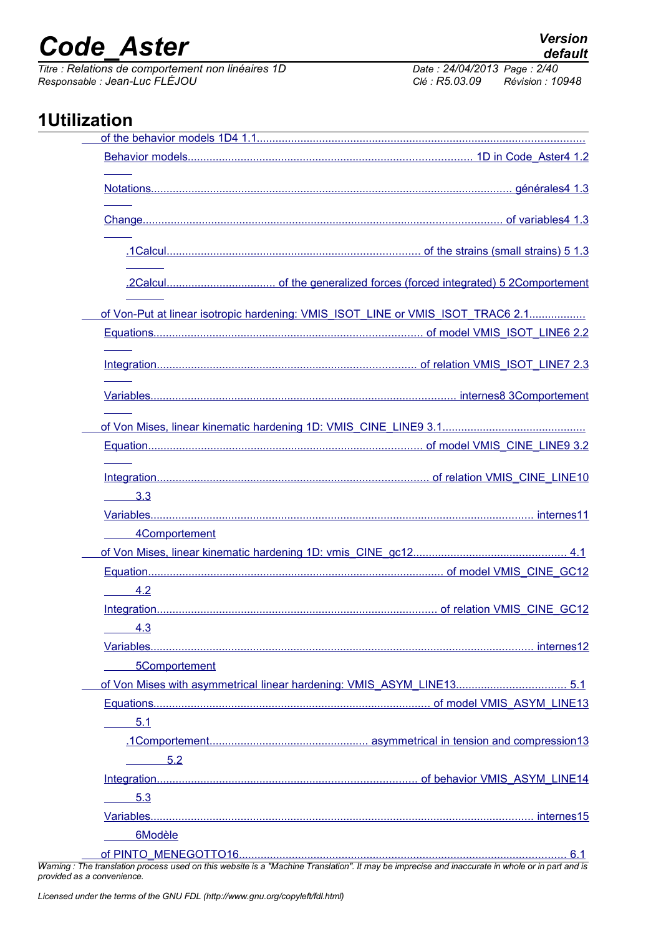*Titre : Relations de comportement non linéaires 1D Date : 24/04/2013 Page : 2/40 Responsable : Jean-Luc FLÉJOU Clé : R5.03.09 Révision : 10948*

## **1Utilization**

|                  | of Von-Put at linear isotropic hardening: VMIS_ISOT_LINE or VMIS_ISOT_TRAC6 2.1 |
|------------------|---------------------------------------------------------------------------------|
|                  |                                                                                 |
|                  |                                                                                 |
|                  |                                                                                 |
|                  |                                                                                 |
|                  |                                                                                 |
|                  |                                                                                 |
|                  |                                                                                 |
|                  |                                                                                 |
| 4Comportement    |                                                                                 |
|                  |                                                                                 |
|                  |                                                                                 |
| $\overline{4.2}$ |                                                                                 |
|                  |                                                                                 |
| 4.3              |                                                                                 |
|                  |                                                                                 |
| 5Comportement    |                                                                                 |
|                  |                                                                                 |
|                  |                                                                                 |
| 5.1              |                                                                                 |
|                  |                                                                                 |
| 5.2              |                                                                                 |
|                  |                                                                                 |
| 5.3              |                                                                                 |
|                  |                                                                                 |
| 6Modèle          |                                                                                 |
|                  |                                                                                 |

*Warning : The translation process used on this website is a "Machine Translation". It may be imprecise and inaccurate in whole or in part and is provided as a convenience.*

*Licensed under the terms of the GNU FDL (http://www.gnu.org/copyleft/fdl.html)*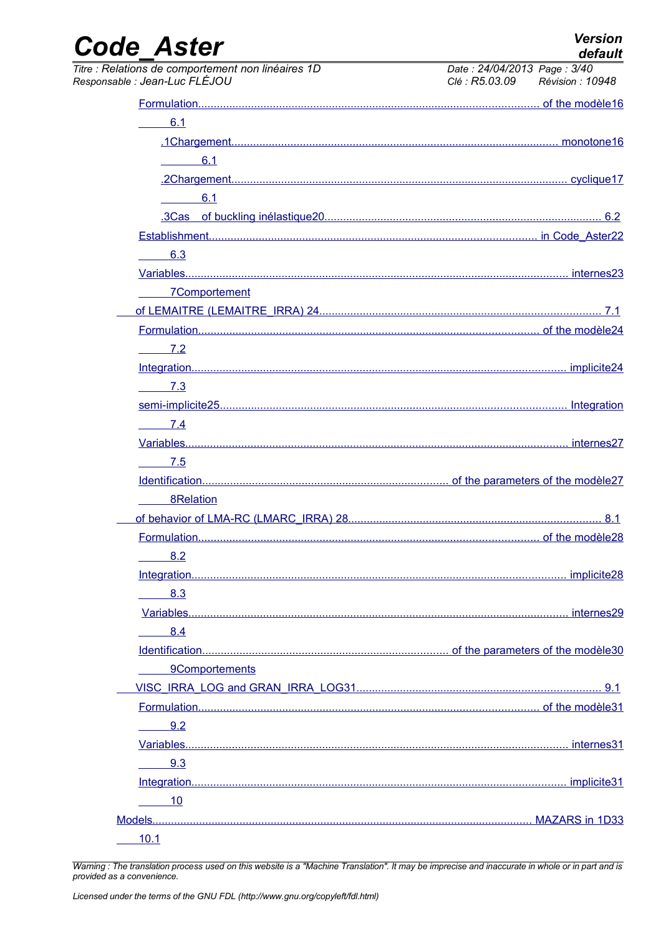| <b>Code Aster</b>                                                                   | <b>Version</b><br>default                                      |
|-------------------------------------------------------------------------------------|----------------------------------------------------------------|
| Titre : Relations de comportement non linéaires 1D<br>Responsable : Jean-Luc FLÉJOU | Date: 24/04/2013 Page: 3/40<br>Clé : R5.03.09 Révision : 10948 |
|                                                                                     |                                                                |
| 6.1                                                                                 |                                                                |
|                                                                                     |                                                                |
| 6.1                                                                                 |                                                                |
|                                                                                     |                                                                |
| 6.1                                                                                 |                                                                |
|                                                                                     |                                                                |
|                                                                                     |                                                                |
| 6.3                                                                                 |                                                                |
|                                                                                     |                                                                |
| 7Comportement                                                                       |                                                                |
|                                                                                     |                                                                |
|                                                                                     |                                                                |
| 7.2                                                                                 |                                                                |
|                                                                                     |                                                                |
| $\overline{7.3}$                                                                    |                                                                |
|                                                                                     |                                                                |
| 7.4                                                                                 |                                                                |
|                                                                                     |                                                                |
| 7.5                                                                                 |                                                                |
|                                                                                     |                                                                |
| 8Relation                                                                           |                                                                |
|                                                                                     |                                                                |
|                                                                                     |                                                                |
| 8.2                                                                                 |                                                                |
|                                                                                     |                                                                |
| 8.3                                                                                 |                                                                |
|                                                                                     |                                                                |
| 8.4                                                                                 |                                                                |
|                                                                                     |                                                                |
| <b>9Comportements</b>                                                               |                                                                |
|                                                                                     |                                                                |
|                                                                                     |                                                                |
| 9.2                                                                                 |                                                                |
|                                                                                     |                                                                |
| 9.3                                                                                 |                                                                |
|                                                                                     |                                                                |
| $\overline{10}$                                                                     |                                                                |
|                                                                                     |                                                                |
| 10.1                                                                                |                                                                |

Warning: The translation process used on this website is a "Machine Translation". It may be imprecise and inaccurate in whole or in part and is<br>provided as a convenience.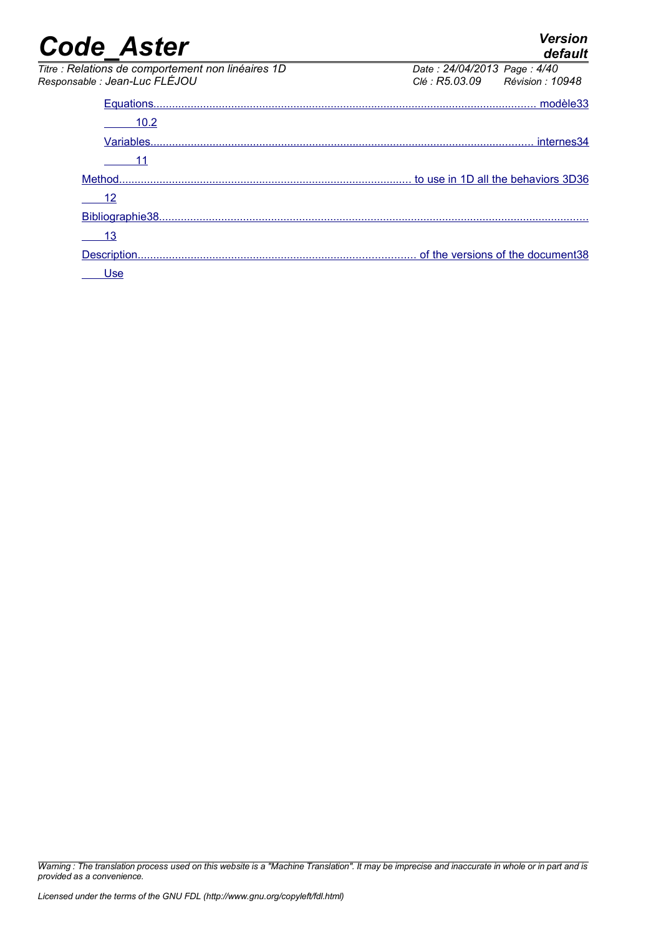| <b>Code Aster</b>                                  |                             | <b>Version</b><br>default           |
|----------------------------------------------------|-----------------------------|-------------------------------------|
| Titre : Relations de comportement non linéaires 1D | Date: 24/04/2013 Page: 4/40 |                                     |
| Responsable : Jean-Luc FLÉJOU                      |                             | Clé : R5.03.09 Révision : 10948     |
|                                                    |                             | modèle <sub>33</sub>                |
| 10.2                                               |                             |                                     |
| Variables                                          |                             | internes34                          |
|                                                    |                             |                                     |
| Method                                             |                             | to use in 1D all the behaviors 3D36 |
|                                                    |                             |                                     |
|                                                    |                             |                                     |
| 13                                                 |                             |                                     |
|                                                    |                             |                                     |
| Use                                                |                             |                                     |

*Warning : The translation process used on this website is a "Machine Translation". It may be imprecise and inaccurate in whole or in part and is provided as a convenience.*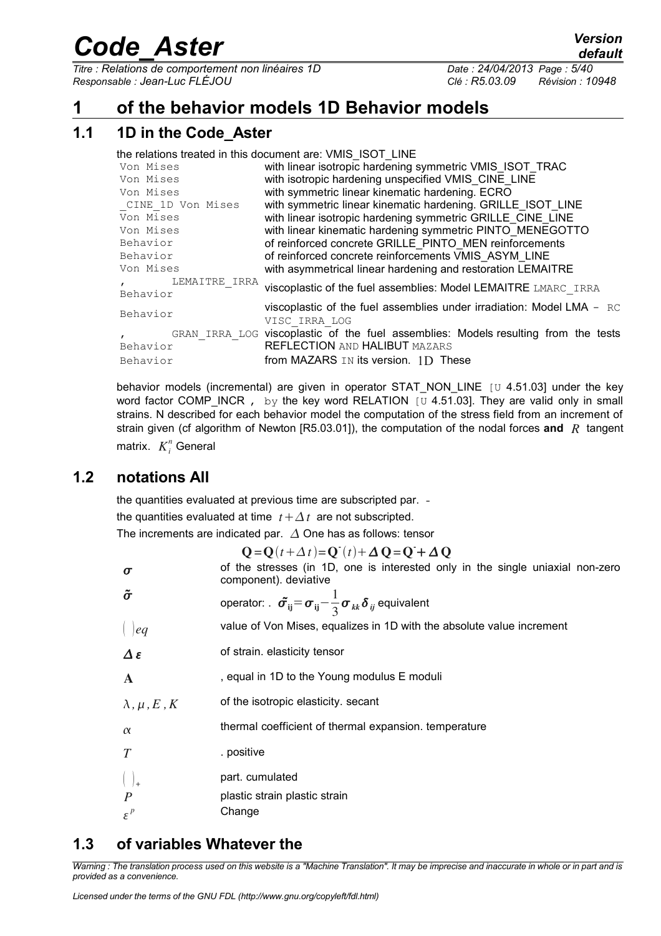*Titre : Relations de comportement non linéaires 1D Date : 24/04/2013 Page : 5/40 Responsable : Jean-Luc FLÉJOU Clé : R5.03.09 Révision : 10948*

## <span id="page-4-0"></span>**1 of the behavior models 1D Behavior models**

## **1.1 1D in the Code\_Aster**

<span id="page-4-3"></span>the relations treated in this document are: VMIS\_ISOT\_LINE

| Von Mises         | with linear isotropic hardening symmetric VMIS_ISOT_TRAC                           |
|-------------------|------------------------------------------------------------------------------------|
| Von Mises         | with isotropic hardening unspecified VMIS CINE LINE                                |
| Von Mises         | with symmetric linear kinematic hardening. ECRO                                    |
| CINE 1D Von Mises | with symmetric linear kinematic hardening. GRILLE ISOT LINE                        |
| Von Mises         | with linear isotropic hardening symmetric GRILLE CINE LINE                         |
| Von Mises         | with linear kinematic hardening symmetric PINTO MENEGOTTO                          |
| Behavior          | of reinforced concrete GRILLE PINTO MEN reinforcements                             |
| Behavior          | of reinforced concrete reinforcements VMIS ASYM LINE                               |
| Von Mises         | with asymmetrical linear hardening and restoration LEMAITRE                        |
| LEMAITRE IRRA     | Viscoplastic of the fuel assemblies: Model LEMAITRE LMARC IRRA                     |
| Behavior          |                                                                                    |
| Behavior          | viscoplastic of the fuel assemblies under irradiation: Model LMA - RC              |
|                   | VISC IRRA LOG                                                                      |
|                   | GRAN IRRA LOG viscoplastic of the fuel assemblies: Models resulting from the tests |
| Behavior          | <b>REFLECTION AND HALIBUT MAZARS</b>                                               |
| Behavior          | from MAZARS IN its version. 1D These                                               |

behavior models (incremental) are given in operator STAT\_NON\_LINE [U 4.51.03] under the key word factor COMP\_INCR, by the key word RELATION [U 4.51.03]. They are valid only in small strains. N described for each behavior model the computation of the stress field from an increment of strain given (cf algorithm of Newton [R5.03.01]), the computation of the nodal forces **and** *R* tangent matrix.  $K_i^n$  General

### **1.2 notations All**

<span id="page-4-2"></span>the quantities evaluated at previous time are subscripted par. the quantities evaluated at time  $t + \Delta t$  are not subscripted. The increments are indicated par.  $\Delta$  One has as follows: tensor

|                               | $Q = Q(t + \Delta t) = Q'(t) + \Delta Q = Q' + \Delta Q$                                                |
|-------------------------------|---------------------------------------------------------------------------------------------------------|
| $\sigma$                      | of the stresses (in 1D, one is interested only in the single uniaxial non-zero<br>component). deviative |
| $\tilde{\sigma}$              | operator: $\tilde{\sigma}_{ij} = \sigma_{ij} - \frac{1}{3} \sigma_{kk} \delta_{ij}$ equivalent          |
| $ $  eq                       | value of Von Mises, equalizes in 1D with the absolute value increment                                   |
| $\Delta$ $\varepsilon$        | of strain. elasticity tensor                                                                            |
| $\mathbf{A}$                  | , equal in 1D to the Young modulus E moduli                                                             |
| $\lambda$ , $\mu$ , $E$ , $K$ | of the isotropic elasticity. secant                                                                     |
| $\alpha$                      | thermal coefficient of thermal expansion. temperature                                                   |
| $\, T \,$                     | . positive                                                                                              |
| $( )_{+}$                     | part. cumulated                                                                                         |
| $\boldsymbol{P}$              | plastic strain plastic strain                                                                           |
| $\varepsilon^p$               | Change                                                                                                  |

## <span id="page-4-1"></span>**1.3 of variables Whatever the**

*Warning : The translation process used on this website is a "Machine Translation". It may be imprecise and inaccurate in whole or in part and is provided as a convenience.*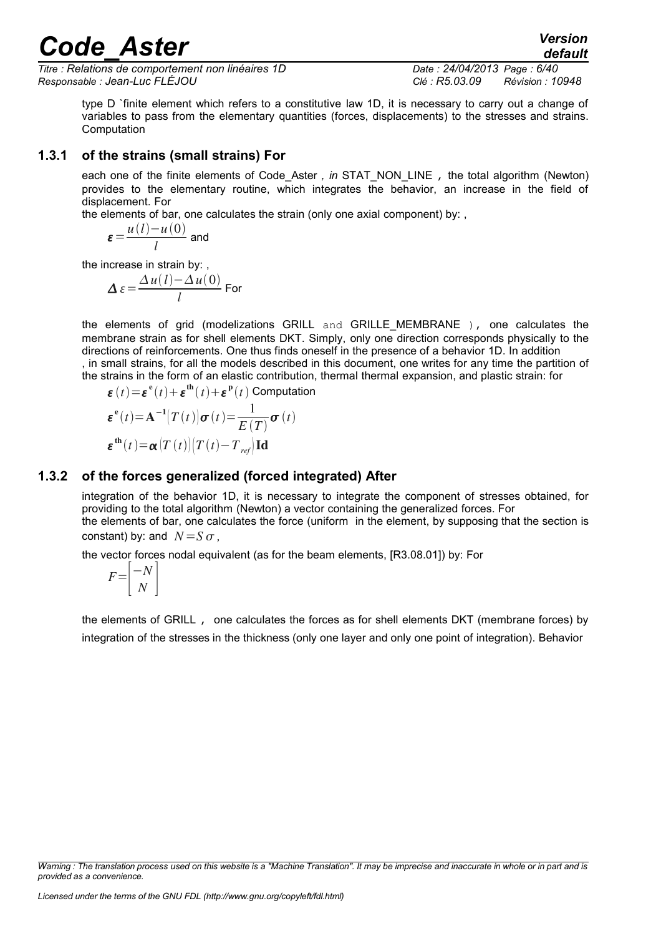*Titre : Relations de comportement non linéaires 1D Date : 24/04/2013 Page : 6/40 Responsable : Jean-Luc FLÉJOU Clé : R5.03.09 Révision : 10948*

type D `finite element which refers to a constitutive law 1D, it is necessary to carry out a change of variables to pass from the elementary quantities (forces, displacements) to the stresses and strains. Computation

### **1.3.1 of the strains (small strains) For**

<span id="page-5-1"></span>each one of the finite elements of Code\_Aster *, in* STAT\_NON\_LINE , the total algorithm (Newton) provides to the elementary routine, which integrates the behavior, an increase in the field of displacement. For

the elements of bar, one calculates the strain (only one axial component) by: ,

$$
\varepsilon = \frac{u(l) - u(0)}{l} \text{ and}
$$

the increase in strain by: ,

$$
\Delta \varepsilon = \frac{\Delta u(l) - \Delta u(0)}{l}
$$
 For

the elements of grid (modelizations GRILL and GRILLE\_MEMBRANE ), one calculates the membrane strain as for shell elements DKT. Simply, only one direction corresponds physically to the directions of reinforcements. One thus finds oneself in the presence of a behavior 1D. In addition , in small strains, for all the models described in this document, one writes for any time the partition of the strains in the form of an elastic contribution, thermal thermal expansion, and plastic strain: for

$$
\varepsilon(t) = \varepsilon^{e}(t) + \varepsilon^{th}(t) + \varepsilon^{p}(t)
$$
 Computation  

$$
\varepsilon^{e}(t) = A^{-1}[T(t)]\sigma(t) = \frac{1}{E(T)}\sigma(t)
$$

$$
\varepsilon^{th}(t) = \alpha[T(t)][T(t) - T_{ref}]Id
$$

### **1.3.2 of the forces generalized (forced integrated) After**

<span id="page-5-0"></span>integration of the behavior 1D, it is necessary to integrate the component of stresses obtained, for providing to the total algorithm (Newton) a vector containing the generalized forces. For the elements of bar, one calculates the force (uniform in the element, by supposing that the section is constant) by: and  $N = S \sigma$ .

the vector forces nodal equivalent (as for the beam elements, [R3.08.01]) by: For

$$
F = \begin{bmatrix} -N \\ N \end{bmatrix}
$$

the elements of GRILL , one calculates the forces as for shell elements DKT (membrane forces) by integration of the stresses in the thickness (only one layer and only one point of integration). Behavior

*Warning : The translation process used on this website is a "Machine Translation". It may be imprecise and inaccurate in whole or in part and is provided as a convenience.*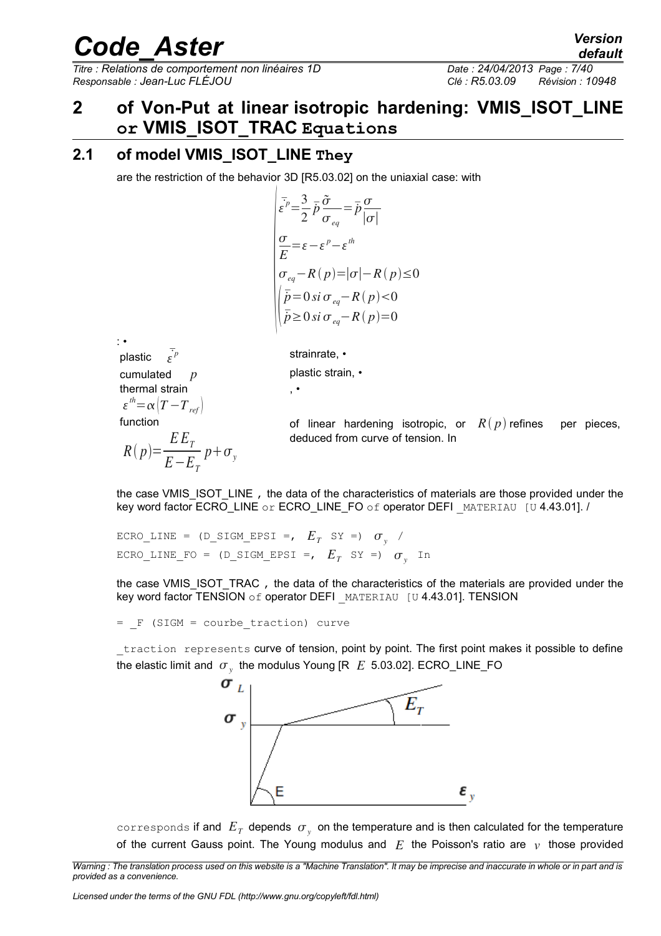*Titre : Relations de comportement non linéaires 1D Date : 24/04/2013 Page : 7/40 Responsable : Jean-Luc FLÉJOU Clé : R5.03.09 Révision : 10948*

## <span id="page-6-1"></span>**2 of Von-Put at linear isotropic hardening: VMIS\_ISOT\_LINE or VMIS\_ISOT\_TRAC Equations**

### **2.1 of model VMIS\_ISOT\_LINE They**

<span id="page-6-0"></span>are the restriction of the behavior 3D [R5.03.02] on the uniaxial case: with

$$
\begin{cases}\n\bar{\vec{r}}^p = \frac{3}{2} \bar{p} \frac{\tilde{\sigma}}{\sigma_{eq}} = \bar{p} \frac{\sigma}{|\sigma|} \\
\frac{\sigma}{E} = \varepsilon - \varepsilon^p - \varepsilon^m \\
\sigma_{eq} - R(p) = |\sigma| - R(p) \le 0 \\
\bar{p} = 0 \text{ si } \sigma_{eq} - R(p) < 0 \\
\bar{p} \ge 0 \text{ si } \sigma_{eq} - R(p) = 0\n\end{cases}
$$

strainrate. •

: • plastic  $\overline{\vdots}$ cumulated *p* plastic strain, • thermal strain

 $\epsilon^{th} = \alpha \left( T - T_{ref} \right)$ function

$$
R(p) = \frac{EE_T}{E - E_T} p + \sigma_y
$$

, •

of linear hardening isotropic, or  $R(p)$  refines per pieces, deduced from curve of tension. In

the case VMIS\_ISOT\_LINE , the data of the characteristics of materials are those provided under the key word factor ECRO\_LINE or ECRO\_LINE\_FO of operator DEFI \_MATERIAU [U 4.43.01]. /

```
\texttt{ECRO\_LINE} = (D_SIGM_EPSI =, E_T SY =) \sigma_y /
\texttt{ECRO\_LINE\_FO} = (D_SIGM_EPSI =, E_T SY =) \sigma_y In
```
the case VMIS\_ISOT\_TRAC , the data of the characteristics of the materials are provided under the key word factor TENSION of operator DEFI MATERIAU [U 4.43.01]. TENSION

= \_F (SIGM = courbe\_traction) curve

traction represents curve of tension, point by point. The first point makes it possible to define the elastic limit and  $\vert \sigma_{_{\rm y}}\vert$  the modulus Young [R  $\vert E\vert$  5.03.02]. ECRO\_LINE\_FO



 $\,$  corresponds if and  $\,E_{\,T}\,$  depends  $\,\sigma_{\,y}\,$  on the temperature and is then calculated for the temperature of the current Gauss point. The Young modulus and  $E$  the Poisson's ratio are  $\gamma$  those provided

*Warning : The translation process used on this website is a "Machine Translation". It may be imprecise and inaccurate in whole or in part and is provided as a convenience.*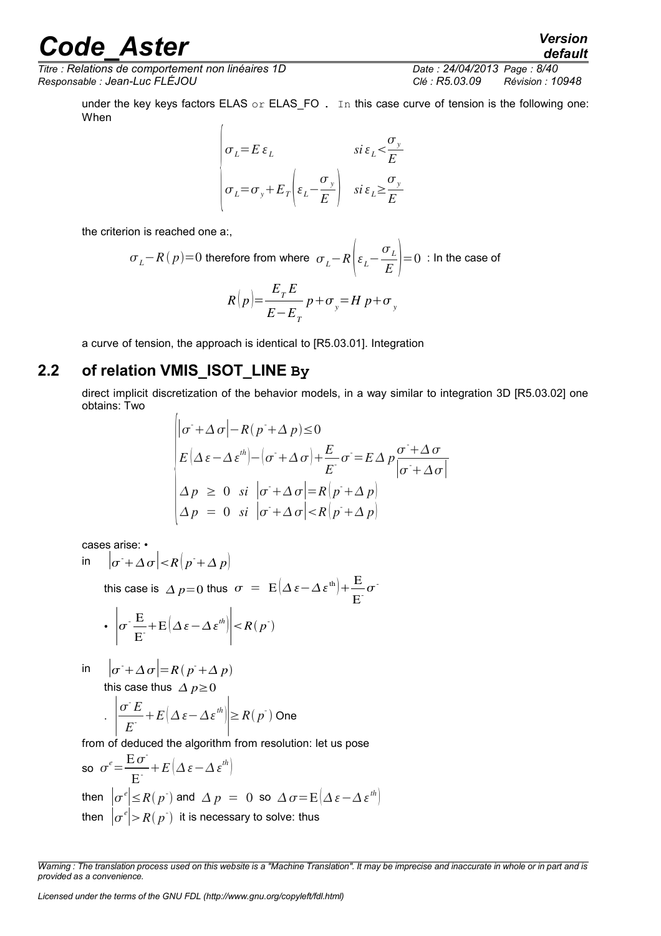*Titre : Relations de comportement non linéaires 1D Date : 24/04/2013 Page : 8/40 Responsable : Jean-Luc FLÉJOU Clé : R5.03.09 Révision : 10948*

under the key keys factors ELAS or ELAS FO . In this case curve of tension is the following one: When  $\sqrt{ }$ 

 $\overline{1}$ 

$$
\begin{vmatrix}\n\sigma_L = E \, \varepsilon_L & \text{si } \varepsilon_L < \frac{\sigma_y}{E} \\
\sigma_L = \sigma_y + E_T \left( \varepsilon_L - \frac{\sigma_y}{E} \right) & \text{si } \varepsilon_L \geq \frac{\sigma_y}{E}\n\end{vmatrix}
$$

the criterion is reached one a:,

$$
\sigma_L - R(p) = 0
$$
 therefore from where  $\sigma_L - R\left(\varepsilon_L - \frac{\sigma_L}{E}\right) = 0$ : In the case of

$$
R\left(p\right) = \frac{E_{T}E}{E - E_{T}} p + \sigma_{y} = H p + \sigma_{y}
$$

<span id="page-7-0"></span>a curve of tension, the approach is identical to [R5.03.01]. Integration

## **2.2 of relation VMIS\_ISOT\_LINE By**

direct implicit discretization of the behavior models, in a way similar to integration 3D [R5.03.02] one obtains: Two

$$
\begin{aligned}\n\left| \sigma + \Delta \sigma \right| &- R(p + \Delta p) \le 0 \\
E(\Delta \varepsilon - \Delta \varepsilon^{th}) - \left( \sigma + \Delta \sigma \right) + \frac{E}{E} \sigma = E \Delta p \frac{\sigma + \Delta \sigma}{\left| \sigma + \Delta \sigma \right|} \\
\Delta p &\ge 0 \quad \text{si} \quad \left| \sigma + \Delta \sigma \right| = R\left| p + \Delta p \right) \\
\Delta p &= 0 \quad \text{si} \quad \left| \sigma + \Delta \sigma \right| < R\left| p + \Delta p \right)\n\end{aligned}
$$

cases arise: •

in 
$$
|\sigma + \Delta \sigma| < R(p + \Delta p)
$$

this case is  $\Delta p = 0$  thus  $\sigma = E(\Delta \varepsilon - \Delta \varepsilon^{th}) + \frac{E}{\Delta t}$  $\frac{E}{E} \sigma$ <sup>-</sup>

$$
\cdot \left| \sigma^{-} \frac{\mathrm{E}}{\mathrm{E}^{-}} + \mathrm{E} \left( \Delta \, \varepsilon - \Delta \, \varepsilon^{th} \right) \right| < R \left( p^{-} \right)
$$

 $|\sigma + \Delta \sigma| = R(p^2 + \Delta p)$ 

this case thus 
$$
\Delta p \ge 0
$$

$$
\left| \frac{\sigma^{\cdot} E}{E^{\cdot}} + E \left( \Delta \, \varepsilon - \Delta \, \varepsilon^{th} \right) \right| \geq R(p^{\cdot}) \text{ One}
$$

from of deduced the algorithm from resolution: let us pose

so 
$$
\sigma^e = \frac{E \sigma^2}{E^2} + E(\Delta \varepsilon - \Delta \varepsilon^{th})
$$
  
\nthen  $|\sigma^e| \le R(p^2)$  and  $\Delta p = 0$  so  $\Delta \sigma = E(\Delta \varepsilon - \Delta \varepsilon^{th})$   
\nthen  $|\sigma^e| > R(p^2)$  it is necessary to solve: thus

*Warning : The translation process used on this website is a "Machine Translation". It may be imprecise and inaccurate in whole or in part and is provided as a convenience.*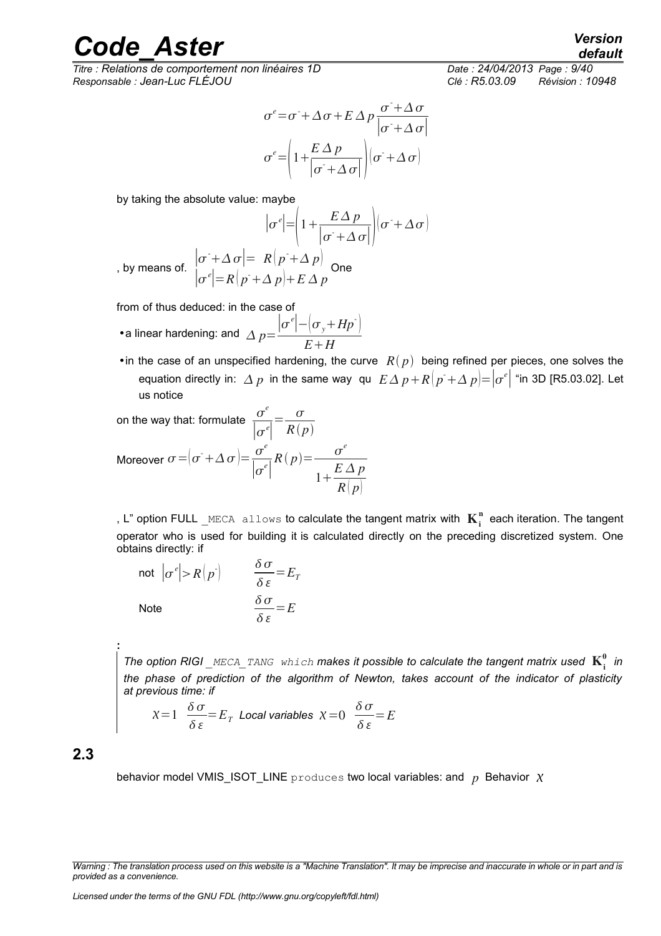*Titre : Relations de comportement non linéaires 1D Date : 24/04/2013 Page : 9/40 Responsable : Jean-Luc FLÉJOU Clé : R5.03.09 Révision : 10948*

*default*

$$
\sigma^{e} = \sigma^{+} \Delta \sigma + E \Delta p \frac{\sigma^{+} \Delta \sigma}{|\sigma^{+} \Delta \sigma|}
$$

$$
\sigma^{e} = \left(1 + \frac{E \Delta p}{|\sigma^{+} \Delta \sigma|}\right) (\sigma^{+} \Delta \sigma)
$$

by taking the absolute value: maybe

$$
|\sigma^e| = \left(1 + \frac{E \Delta p}{|\sigma^+ + \Delta \sigma|}\right) |\sigma^+ + \Delta \sigma|
$$
  
, by means of.  

$$
|\sigma^+ + \Delta \sigma| = R(p^+ + \Delta p)
$$
  

$$
|\sigma^e| = R(p^+ + \Delta p) + E \Delta p
$$

from of thus deduced: in the case of

- •a linear hardening: and  $\Delta p=$  $\left| \sigma^e \right| - \left| \sigma_y + Hp \right|$ *EH*
- in the case of an unspecified hardening, the curve  $R(p)$  being refined per pieces, one solves the equation directly in:  $\varDelta~p$  in the same way qu  $E\varDelta~p$   $+$   $R\bigl[p$   $+$   $\varDelta~p$   $\bigl|=$   $\bigl|\sigma^e\bigr|$  "in 3D [R5.03.02]. Let us notice

on the way that: formulate 
$$
\frac{\sigma^e}{|\sigma^e|} = \frac{\sigma}{R(p)}
$$
  
Moreover  $\sigma = |\sigma^+ \Delta \sigma| = \frac{\sigma^e}{|\sigma^e|} R(p) = \frac{\sigma^e}{1 + \frac{E \Delta p}{R(p)}}$ 

, L" option FULL  $\_$ <code>MECA allows</code> to calculate the tangent matrix with  $\textbf{K}_\textbf{i}^\textbf{n}$  each iteration. The tangent operator who is used for building it is calculated directly on the preceding discretized system. One obtains directly: if

not  $|\sigma^e| > R(p^{-})$   $\frac{\delta \sigma}{\delta \sigma^2}$  $\frac{\partial}{\partial \varepsilon}$  =  $E_T$ **Note**  $\delta \sigma$  $\delta \varepsilon$  $=E$ 

The option RIGI \_ ${\tt MECA\_TANG\_which}$  makes it possible to calculate the tangent matrix used  $\, {\bf K^{0}_i} \,$  in *the phase of prediction of the algorithm of Newton, takes account of the indicator of plasticity at previous time: if*

$$
\chi=1 \quad \frac{\delta \sigma}{\delta \,\varepsilon} = E_T \text{ Local variables } \chi=0 \quad \frac{\delta \sigma}{\delta \,\varepsilon} = E
$$

### **2.3**

**:** 

<span id="page-8-0"></span>behavior model VMIS\_ISOT\_LINE produces two local variables: and p Behavior  $\chi$ 

*Warning : The translation process used on this website is a "Machine Translation". It may be imprecise and inaccurate in whole or in part and is provided as a convenience.*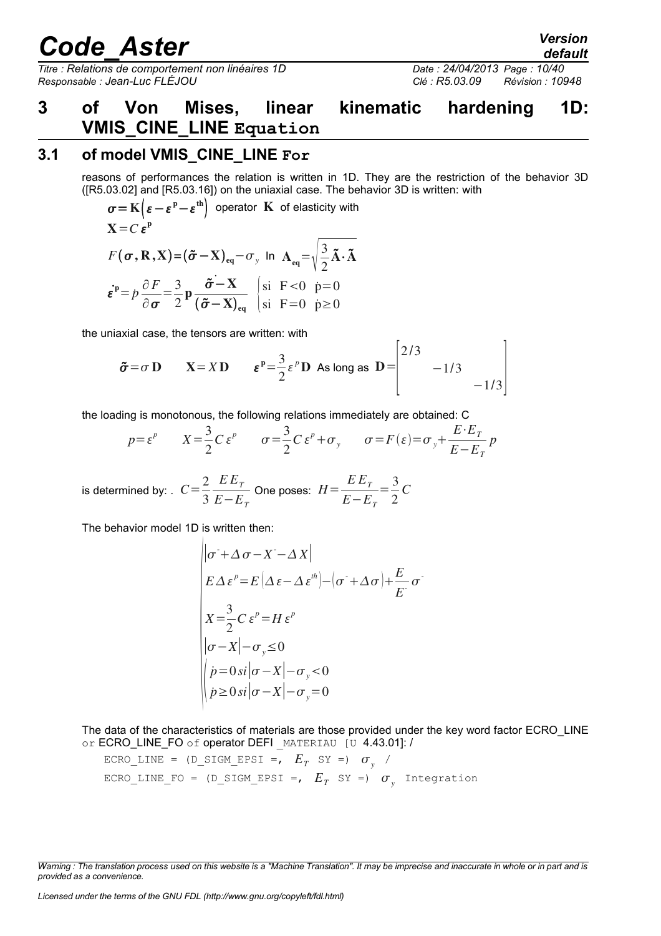*Titre : Relations de comportement non linéaires 1D Date : 24/04/2013 Page : 10/40 Responsable : Jean-Luc FLÉJOU Clé : R5.03.09 Révision : 10948*

## <span id="page-9-1"></span>**3 of Von Mises, linear kinematic hardening 1D: VMIS\_CINE\_LINE Equation**

## **3.1 of model VMIS\_CINE\_LINE For**

<span id="page-9-0"></span>reasons of performances the relation is written in 1D. They are the restriction of the behavior 3D ([R5.03.02] and [R5.03.16]) on the uniaxial case. The behavior 3D is written: with

$$
\sigma = \mathbf{K} \left( \boldsymbol{\varepsilon} - \boldsymbol{\varepsilon}^{\mathrm{p}} - \boldsymbol{\varepsilon}^{\mathrm{th}} \right) \text{ operator } \mathbf{K} \text{ of elasticity with}
$$
  
\n
$$
\mathbf{X} = C \, \boldsymbol{\varepsilon}^{\mathrm{p}}
$$
  
\n
$$
F(\boldsymbol{\sigma}, \mathbf{R}, \mathbf{X}) = (\boldsymbol{\tilde{\sigma}} - \mathbf{X})_{\mathrm{eq}} - \sigma_{y} \text{ In } \mathbf{A}_{\mathrm{eq}} = \sqrt{\frac{3}{2}} \tilde{\mathbf{A}} \cdot \tilde{\mathbf{A}}
$$
  
\n
$$
\boldsymbol{\varepsilon}^{\mathrm{p}} = p \frac{\partial F}{\partial \boldsymbol{\sigma}} = \frac{3}{2} p \frac{\boldsymbol{\tilde{\sigma}} - \mathbf{X}}{(\boldsymbol{\tilde{\sigma}} - \mathbf{X})_{\mathrm{eq}}} \begin{cases} \text{si } \ \mathbf{F} < 0 \\ \text{si } \ \mathbf{F} = 0 \end{cases} \quad \dot{\mathbf{p}} \ge 0
$$

the uniaxial case, the tensors are written: with

$$
\tilde{\sigma} = \sigma \mathbf{D} \qquad \mathbf{X} = X \mathbf{D} \qquad \varepsilon^{\mathbf{p}} = \frac{3}{2} \varepsilon^p \mathbf{D} \text{ As long as } \mathbf{D} = \begin{bmatrix} 2/3 & & \\ & -1/3 & \\ & & -1/3 \end{bmatrix}
$$

r.

the loading is monotonous, the following relations immediately are obtained: C

$$
p = \varepsilon^p \qquad X = \frac{3}{2} C \, \varepsilon^p \qquad \sigma = \frac{3}{2} C \, \varepsilon^p + \sigma_y \qquad \sigma = F(\varepsilon) = \sigma_y + \frac{E \cdot E_x}{E - E_x} \, p
$$

is determined by: .  $C = \frac{2}{3}$ 3 *E E<sup>T</sup> E*−*E<sup>T</sup>* One poses:  $H = \frac{E E_T}{E_F E_T}$ *E*−*E<sup>T</sup>*  $=\frac{3}{2}$ 2 *C*

The behavior model 1D is written then:

 $\overline{1}$ 

$$
\begin{aligned}\n\left|\sigma^{\top} + \Delta \sigma - X^{\top} - \Delta X\right| \\
E \Delta \varepsilon^p &= E\left(\Delta \varepsilon - \Delta \varepsilon^{th}\right) - \left(\sigma^{\top} + \Delta \sigma\right) + \frac{E}{E^{\top}} \sigma^{\top} \\
X &= \frac{3}{2} C \varepsilon^p = H \varepsilon^p \\
\left|\sigma - X\right| - \sigma_y \le 0 \\
\left|\rho = 0 \sin \left|\sigma - X\right| - \sigma_y < 0 \\
\left|\rho \ge 0 \sin \left|\sigma - X\right| - \sigma_y = 0\n\end{aligned}
$$

The data of the characteristics of materials are those provided under the key word factor ECRO\_LINE or ECRO\_LINE\_FO of operator DEFI MATERIAU [U 4.43.01]: /

ECRO\_LINE = (D\_SIGM\_EPSI =, 
$$
E_T
$$
 SY =)  $\sigma_y$  /  
ECRO\_LINE\_FO = (D\_SIGM\_EPSI =,  $E_T$  SY =)  $\sigma_y$  Integration

*Warning : The translation process used on this website is a "Machine Translation". It may be imprecise and inaccurate in whole or in part and is provided as a convenience.*

*default*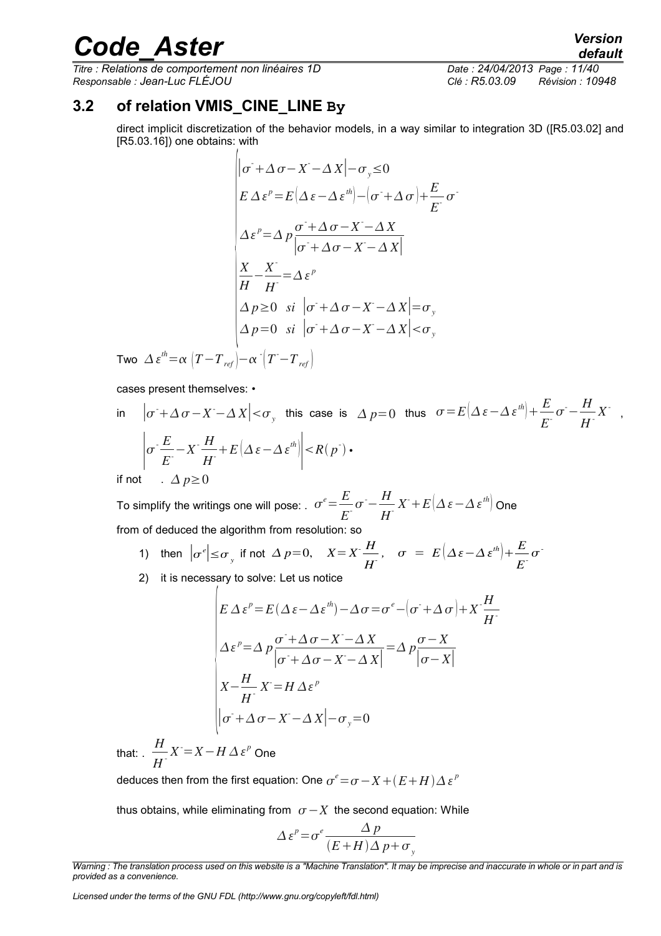*Titre : Relations de comportement non linéaires 1D Date : 24/04/2013 Page : 11/40 Responsable : Jean-Luc FLÉJOU Clé : R5.03.09 Révision : 10948*

### **3.2 of relation VMIS\_CINE\_LINE By**

<span id="page-10-0"></span>direct implicit discretization of the behavior models, in a way similar to integration 3D ([R5.03.02] and [R5.03.16]) one obtains: with

$$
\begin{vmatrix}\n\sigma + \Delta \sigma - X - \Delta X | - \sigma_y \le 0 \\
E \Delta \varepsilon^p = E |\Delta \varepsilon - \Delta \varepsilon^m| - (\sigma + \Delta \sigma) + \frac{E}{E} \sigma \\
\Delta \varepsilon^p = \Delta p \frac{\sigma + \Delta \sigma - X - \Delta X}{|\sigma + \Delta \sigma - X - \Delta X|} \\
\frac{X}{H} - \frac{X}{H} = \Delta \varepsilon^p \\
\Delta p \ge 0 \quad \text{si} \quad |\sigma + \Delta \sigma - X - \Delta X| = \sigma_y \\
\Delta p = 0 \quad \text{si} \quad |\sigma + \Delta \sigma - X - \Delta X| < \sigma_y\n\end{vmatrix}
$$

 $\tau$ wo  $\Delta \varepsilon^{th} = \alpha \left( T - T_{ref} \right) - \alpha \left( T - T_{ref} \right)$ 

cases present themselves: •

in 
$$
|\sigma^+ \Delta \sigma - X^- \Delta X| < \sigma_y
$$
 this case is  $\Delta p = 0$  thus  $\sigma = E |\Delta \varepsilon - \Delta \varepsilon^m| + \frac{E}{E} \sigma^2 - \frac{H}{H} X^2$ ,  
 $|\sigma^2 \frac{E}{E} - X^2 \frac{H}{H} + E |\Delta \varepsilon - \Delta \varepsilon^m| < R(p^2)$ .

if not  $\Delta p \geq 0$ 

To simplify the writings one will pose: .  $\ \sigma^e \! = \! \frac{E}{E}$  $\frac{E}{E} \sigma - \frac{H}{H}$  $\frac{H}{H}$  *X* + *E*  $\left(\Delta \varepsilon - \Delta \varepsilon^{th}\right)$  One from of deduced the algorithm from resolution: so

1) then 
$$
|\sigma^e| \le \sigma_y
$$
 if not  $\Delta p = 0$ ,  $X = X \frac{H}{H}$ ,  $\sigma = E(\Delta \varepsilon - \Delta \varepsilon^h) + \frac{E}{E} \sigma$ 

2) it is necessary to solve: Let us notice  $\sqrt{ }$ 

$$
E \Delta \varepsilon^{p} = E(\Delta \varepsilon - \Delta \varepsilon^{th}) - \Delta \sigma = \sigma^{e} - (\sigma^{2} + \Delta \sigma) + X^{2} \frac{H}{H^{2}}
$$

$$
\Delta \varepsilon^{p} = \Delta p \frac{\sigma^{2} + \Delta \sigma - X^{2} - \Delta X}{|\sigma^{2} + \Delta \sigma - X^{2} - \Delta X|} = \Delta p \frac{\sigma - X}{|\sigma - X|}
$$

$$
X - \frac{H}{H^{2}} X^{2} = H \Delta \varepsilon^{p}
$$

$$
|\sigma^{2} + \Delta \sigma - X^{2} - \Delta X| - \sigma_{y} = 0
$$

that: . *H H*<sup>→</sup>  $X = X - H \Delta \varepsilon^p$  One

deduces then from the first equation: One  $\sigma^e\!=\!\sigma\!-\!X\!+\!(E\!+\!H)\Delta\,\varepsilon^{\,p}$ 

thus obtains, while eliminating from  $\sigma - X$  the second equation: While

$$
\Delta \varepsilon^{p} = \sigma^{e} \frac{\Delta p}{(E+H)\Delta p + \sigma_{y}}
$$

*Warning : The translation process used on this website is a "Machine Translation". It may be imprecise and inaccurate in whole or in part and is provided as a convenience.*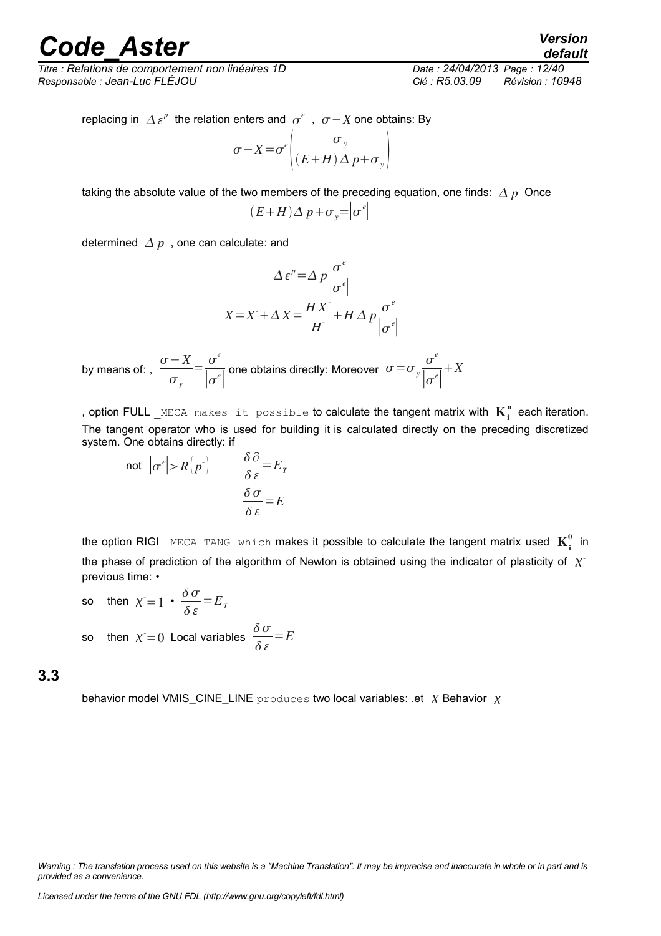*Titre : Relations de comportement non linéaires 1D Date : 24/04/2013 Page : 12/40 Responsable : Jean-Luc FLÉJOU Clé : R5.03.09 Révision : 10948*

replacing in  $\Delta \, \varepsilon^p \,$  the relation enters and  $\, \sigma^e \,$  ,  $\, \sigma \! - \! X$  one obtains: By

$$
\sigma - X = \sigma^e \left( \frac{\sigma_y}{\left( E + H \right) \Delta p + \sigma_y} \right)
$$

taking the absolute value of the two members of the preceding equation, one finds:  $\Delta p$  Once

$$
(E+H)\Delta p + \sigma_y = |\sigma^e|
$$

determined  $\Delta p$ , one can calculate: and

$$
\Delta \varepsilon^{p} = \Delta p \frac{\sigma^{e}}{|\sigma^{e}|}
$$

$$
X = X + \Delta X = \frac{HX}{H} + H \Delta p \frac{\sigma^{e}}{|\sigma^{e}|}
$$

by means of: ,  $\frac{\sigma - X}{\sigma}$  $\sigma_{y}$  $=\frac{\sigma^e}{1}$  $|σ<sup>e</sup>|$ one obtains directly: Moreover  $\sigma = \sigma_y \frac{\sigma^e}{\sigma_z}$  $|\sigma^e|$ *X*

, option <code>FULL</code>  $\_$ <code>MECA makes it possible</code> to calculate the tangent matrix with  $\textbf{K}_\text{i}^\text{n}$  each iteration. The tangent operator who is used for building it is calculated directly on the preceding discretized system. One obtains directly: if

$$
\begin{aligned}\n\text{not } \left| \sigma^e \right| > R\left( p^{\text{-}} \right) & \frac{\delta \hat{\sigma}}{\delta \varepsilon} &= E_T \\
\frac{\delta \sigma}{\delta \varepsilon} &= E\n\end{aligned}
$$

the option RIGI  $\_$ <code>MECA $\_$ TANG which</code> makes it possible to calculate the tangent matrix used  $\textbf{K}_\text{i}^0$  in the phase of prediction of the algorithm of Newton is obtained using the indicator of plasticity of  $\chi^2$ previous time: •

so then 
$$
\chi = 1 \cdot \frac{\delta \sigma}{\delta \varepsilon} = E_T
$$
  
so then  $\chi = 0$  Local variables  $\frac{\delta \sigma}{\delta \varepsilon} = E$ 

**3.3**

<span id="page-11-0"></span>behavior model VMIS\_CINE\_LINE produces two local variables: .et *X* Behavior *X* 

*Warning : The translation process used on this website is a "Machine Translation". It may be imprecise and inaccurate in whole or in part and is provided as a convenience.*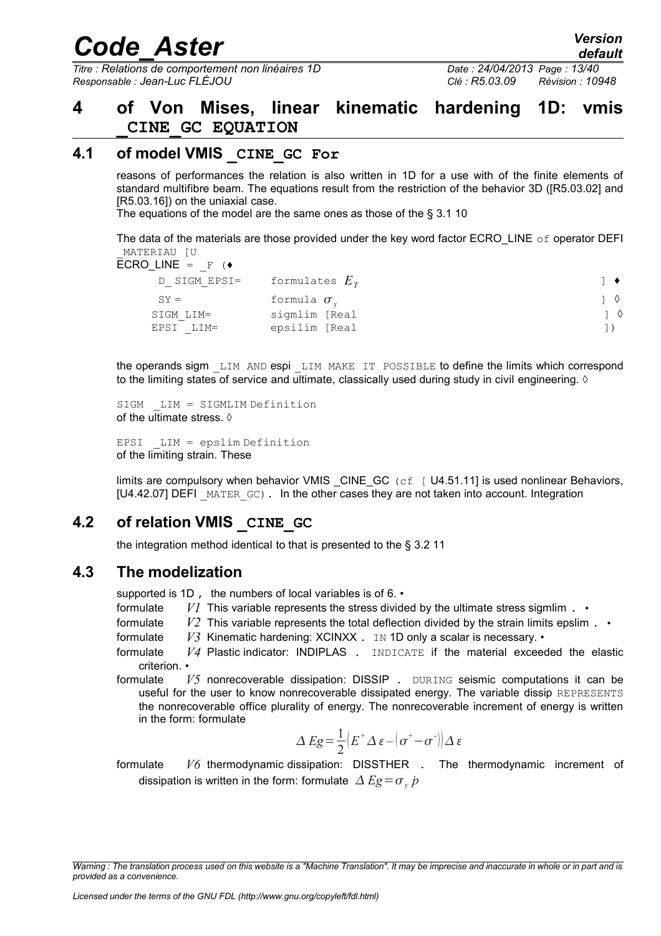*Titre : Relations de comportement non linéaires 1D Date : 24/04/2013 Page : 13/40 Responsable : Jean-Luc FLÉJOU Clé : R5.03.09 Révision : 10948*

## <span id="page-12-3"></span>**4 of Von Mises, linear kinematic hardening 1D: vmis \_CINE\_GC EQUATION**

### **4.1 of model VMIS \_CINE\_GC For**

<span id="page-12-2"></span>reasons of performances the relation is also written in 1D for a use with of the finite elements of standard multifibre beam. The equations result from the restriction of the behavior 3D ([R5.03.02] and [R5.03.16]) on the uniaxial case.

The equations of the model are the same ones as those of the § 3.1 [10](#page-9-0)

The data of the materials are those provided under the key word factor ECRO\_LINE  $\circ$  f operator DEFI \_MATERIAU [U

| $ECRO_LINE = F (\bullet$ |                       |    |
|--------------------------|-----------------------|----|
| D SIGM EPSI=             | formulates $E_{\tau}$ |    |
| $SY =$                   | formula $\sigma_{v}$  |    |
| SIGM LIM=                | sigmlim [Real         | 10 |
| EPSI LIM=                | epsilim [Real         |    |

the operands sigm LIM AND espi LIM MAKE IT POSSIBLE to define the limits which correspond to the limiting states of service and ultimate, classically used during study in civil engineering.  $\Diamond$ 

SIGM \_LIM = SIGMLIM Definition of the ultimate stress. ◊

EPSI LIM = epslim Definition of the limiting strain. These

limits are compulsory when behavior VMIS \_CINE\_GC (cf [ U4.51.11] is used nonlinear Behaviors, [U4.42.07] DEFI \_MATER\_GC). In the other cases they are not taken into account. Integration

### **4.2 • of relation VMIS** CINE GC

<span id="page-12-1"></span>the integration method identical to that is presented to the § 3.2 [11](#page-10-0)

### **4.3 The modelization**

<span id="page-12-0"></span>supported is 1D, the numbers of local variables is of 6. •

- formulate *V1* This variable represents the stress divided by the ultimate stress sigmlim  $\cdot$
- formulate *V2* This variable represents the total deflection divided by the strain limits epslim . •
- formulate *V3* Kinematic hardening: XCINXX . IN 1D only a scalar is necessary. •
- formulate *V4* Plastic indicator: INDIPLAS . INDICATE if the material exceeded the elastic criterion. •
- formulate *V5* nonrecoverable dissipation: DISSIP . DURING seismic computations it can be useful for the user to know nonrecoverable dissipated energy. The variable dissip REPRESENTS the nonrecoverable office plurality of energy. The nonrecoverable increment of energy is written in the form: formulate

$$
\Delta E g = \frac{1}{2} \left( E^+ \Delta \, \varepsilon - \left( \sigma^+ - \sigma^- \right) \right) \Delta \, \varepsilon
$$

formulate *V6* thermodynamic dissipation: DISSTHER . The thermodynamic increment of dissipation is written in the form: formulate  $\Delta Eg = \sigma_v \dot{p}$ 

*Warning : The translation process used on this website is a "Machine Translation". It may be imprecise and inaccurate in whole or in part and is provided as a convenience.*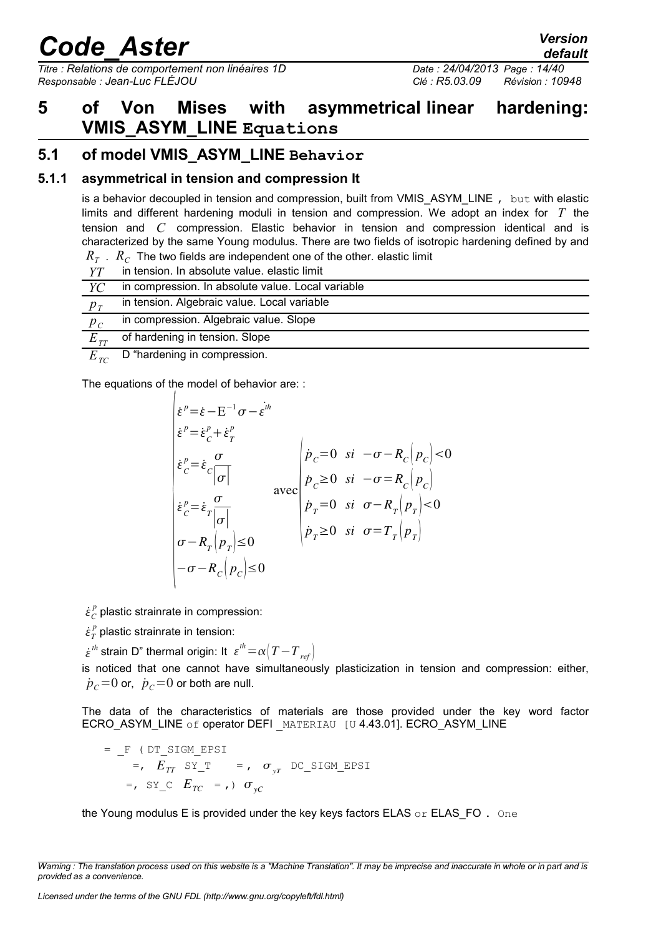*Titre : Relations de comportement non linéaires 1D Date : 24/04/2013 Page : 14/40 Responsable : Jean-Luc FLÉJOU Clé : R5.03.09 Révision : 10948*

## <span id="page-13-2"></span>**5 of Von Mises with asymmetrical linear hardening: VMIS\_ASYM\_LINE Equations**

## <span id="page-13-1"></span>**5.1 of model VMIS\_ASYM\_LINE Behavior**

### **5.1.1 asymmetrical in tension and compression It**

<span id="page-13-0"></span>is a behavior decoupled in tension and compression, built from VMIS\_ASYM\_LINE, but with elastic limits and different hardening moduli in tension and compression. We adopt an index for *T* the tension and *C* compression. Elastic behavior in tension and compression identical and is characterized by the same Young modulus. There are two fields of isotropic hardening defined by and *R*  $R<sub>c</sub>$ . The two fields are independent one of the other. elastic limit

|                            | $I_{\mathcal{A}}$ $I_{\mathcal{A}}$ and two neigs are independent one or the other. Clastic limit |
|----------------------------|---------------------------------------------------------------------------------------------------|
| YT                         | in tension. In absolute value, elastic limit                                                      |
| YC                         | in compression. In absolute value. Local variable                                                 |
| $p_{\tau}$                 | in tension. Algebraic value. Local variable                                                       |
| $p_{\scriptscriptstyle C}$ | in compression. Algebraic value. Slope                                                            |
| $E_{rr}$                   | of hardening in tension. Slope                                                                    |

 $E<sub>TC</sub>$  D "hardening in compression.

The equations of the model of behavior are: :

$$
\begin{vmatrix}\n\dot{\varepsilon}^p = \dot{\varepsilon} - \mathbf{E}^{-1} \sigma - \dot{\varepsilon}^h \\
\dot{\varepsilon}^p = \dot{\varepsilon}_C^p + \dot{\varepsilon}_T^p \\
\dot{\varepsilon}_C^p = \dot{\varepsilon}_C \frac{\sigma}{|\sigma|} \\
\dot{\varepsilon}_C^p = \dot{\varepsilon}_T \frac{\sigma}{|\sigma|} \\
\dot{\varepsilon}_C^p = \dot{\varepsilon}_T \frac{\sigma}{|\sigma|} \\
\sigma - R_r \left( p_r \right) \le 0 \\
-\sigma - R_c \left( p_c \right) \le 0\n\end{vmatrix} \quad \text{where } \begin{vmatrix}\n\dot{p}_c = 0 & \dot{s} & -\sigma - R_c \left( p_c \right) < 0 \\
\dot{p}_c = 0 & \dot{s} & -\sigma = R_c \left( p_c \right) \\
\dot{p}_r = 0 & \dot{s} & \sigma - R_r \left( p_r \right) < 0 \\
\dot{p}_r \ge 0 & \dot{s} & \sigma = T_r \left( p_r \right) \\
-\sigma - R_c \left( p_c \right) \le 0\n\end{vmatrix}
$$

 $\dot{\varepsilon}^p_{C}$  plastic strainrate in compression:

 $\dot{\varepsilon}_T^p$  plastic strainrate in tension:

 $\dot{\varepsilon}^{th}$  strain D" thermal origin: It  $\left| \varepsilon^{th}\!=\!\alpha \right| \overline{T}\!-\!T_{\mathit{ref}}\big|_{\mathit{ref}}$ 

is noticed that one cannot have simultaneously plasticization in tension and compression: either,  $\dot{p}_c = 0$  or,  $\dot{p}_c = 0$  or both are null.

The data of the characteristics of materials are those provided under the key word factor ECRO\_ASYM\_LINE of operator DEFI MATERIAU [U 4.43.01]. ECRO\_ASYM\_LINE

$$
= \mathbf{F} \text{ (DT_SIGM_EPSI}
$$
\n
$$
=, \quad E_{TT} \text{ SY_T} =, \quad \sigma_{yT} \text{ DC_SIGM_EPSI}
$$
\n
$$
=, \quad \text{SY_C} \quad E_{TC} =, \quad \sigma_{yC}
$$

the Young modulus E is provided under the key keys factors ELAS  $\circ$  r ELAS FO. One

*default*

*Warning : The translation process used on this website is a "Machine Translation". It may be imprecise and inaccurate in whole or in part and is provided as a convenience.*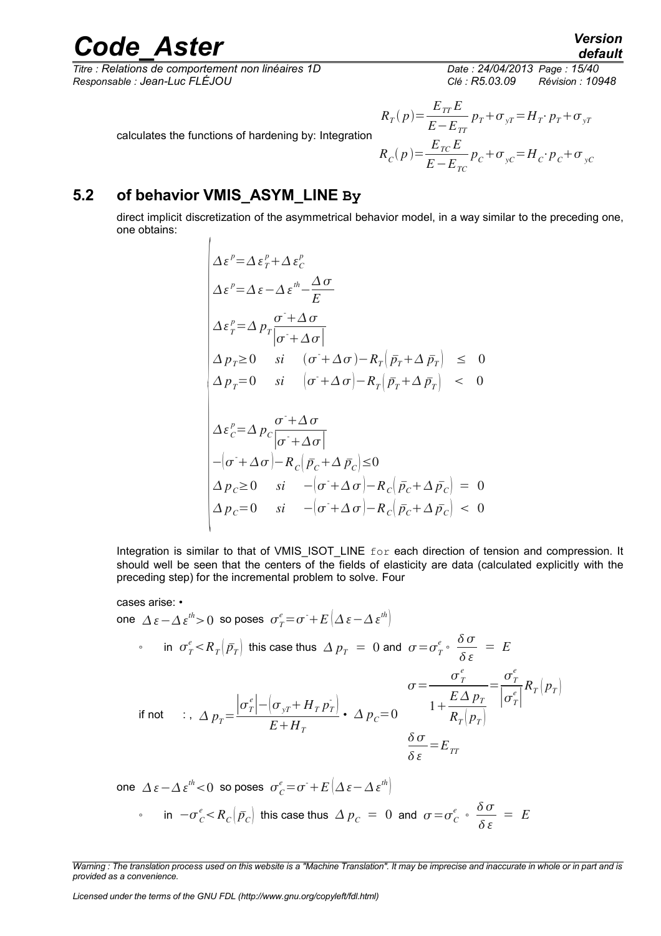*Code\_Aster Version default*

*Titre : Relations de comportement non linéaires 1D Date : 24/04/2013 Page : 15/40 Responsable : Jean-Luc FLÉJOU Clé : R5.03.09 Révision : 10948*

$$
R_T(p) = \frac{E_{TT}E}{E - E_{TT}} p_T + \sigma_{yT} = H_T \cdot p_T + \sigma_{yT}
$$

$$
R_C(p) = \frac{E_{TC}E}{E - E_{TC}} p_C + \sigma_{yC} = H_C \cdot p_C + \sigma_{yC}
$$

calculates the functions of hardening by: Integration

### **5.2 of behavior VMIS\_ASYM\_LINE By**

<span id="page-14-0"></span>direct implicit discretization of the asymmetrical behavior model, in a way similar to the preceding one, one obtains:

$$
\Delta \varepsilon^p = \Delta \varepsilon_T^p + \Delta \varepsilon_C^p
$$
\n
$$
\Delta \varepsilon^p = \Delta \varepsilon - \Delta \varepsilon^m - \frac{\Delta \sigma}{E}
$$
\n
$$
\Delta \varepsilon_T^p = \Delta p_T \frac{\sigma^2 + \Delta \sigma}{|\sigma^2 + \Delta \sigma|}
$$
\n
$$
\Delta p_T \ge 0 \quad si \quad (\sigma^2 + \Delta \sigma) - R_T (\bar{p}_T + \Delta \bar{p}_T) \le 0
$$
\n
$$
\Delta p_T = 0 \quad si \quad (\sigma^2 + \Delta \sigma) - R_T (\bar{p}_T + \Delta \bar{p}_T) < 0
$$
\n
$$
\Delta \varepsilon_C^p = \Delta p_C \frac{\sigma^2 + \Delta \sigma}{|\sigma^2 + \Delta \sigma|}
$$
\n
$$
- (\sigma^2 + \Delta \sigma) - R_C (\bar{p}_C + \Delta \bar{p}_C) \le 0
$$
\n
$$
\Delta p_C \ge 0 \quad si \quad - (\sigma^2 + \Delta \sigma) - R_C (\bar{p}_C + \Delta \bar{p}_C) = 0
$$
\n
$$
\Delta p_C = 0 \quad si \quad - (\sigma^2 + \Delta \sigma) - R_C (\bar{p}_C + \Delta \bar{p}_C) < 0
$$

Integration is similar to that of VMIS\_ISOT\_LINE for each direction of tension and compression. It should well be seen that the centers of the fields of elasticity are data (calculated explicitly with the preceding step) for the incremental problem to solve. Four

cases arise:   
\none 
$$
\Delta \varepsilon - \Delta \varepsilon^{th} > 0
$$
 so poses  $\sigma_T^e = \sigma^+ + E(\Delta \varepsilon - \Delta \varepsilon^{th})$   
\n $\therefore$  in  $\sigma_T^e < R_T(\bar{p}_T)$  this case thus  $\Delta p_T = 0$  and  $\sigma = \sigma_T^e \circ \frac{\delta \sigma}{\delta \varepsilon} = E$   
\n
$$
\sigma = \frac{\sigma_T^e}{\frac{E \Delta p_T}{E + H_T}} = \frac{\sigma_T^e}{|\sigma_T^e|} R_T(p_T)
$$
\nif not  $\therefore \Delta p_T = \frac{|\sigma_T^e| - |\sigma_{\gamma T} + H_T p_T|}{E + H_T}$  and  $\frac{\delta \sigma}{\delta \varepsilon} = E_{TT}$   
\none  $\Delta \varepsilon - \Delta \varepsilon^{th} < 0$  so poses  $\sigma_C^e = \sigma^+ + E(\Delta \varepsilon - \Delta \varepsilon^{th})$   
\n $\therefore$  in  $-\sigma_C^e < R_C(\bar{p}_C)$  this case thus  $\Delta p_C = 0$  and  $\sigma = \sigma_C^e \circ \frac{\delta \sigma}{\delta \varepsilon} = E$ 

*Warning : The translation process used on this website is a "Machine Translation". It may be imprecise and inaccurate in whole or in part and is provided as a convenience.*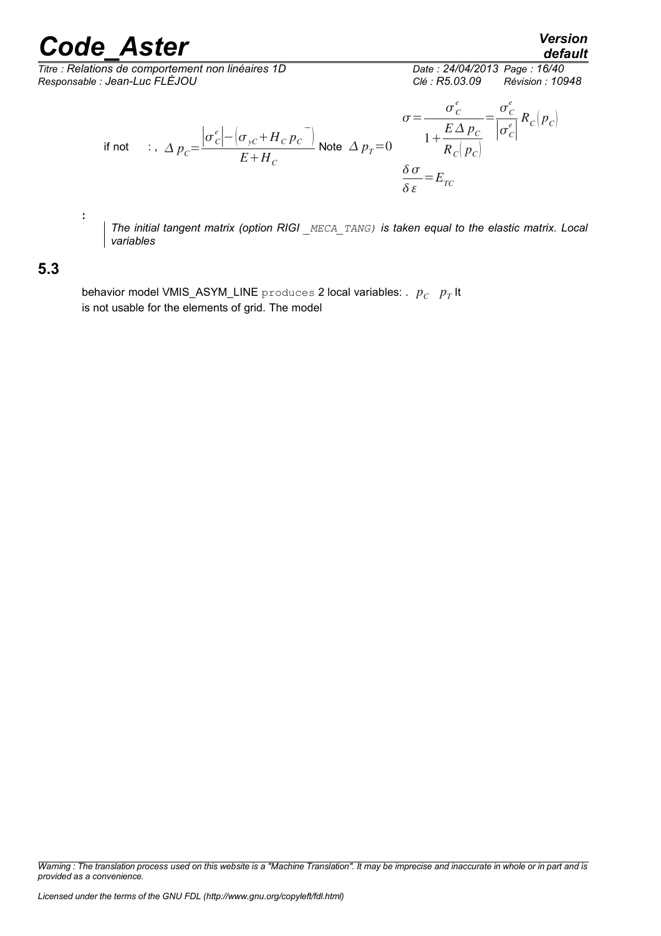*Titre : Relations de comportement non linéaires 1D Date : 24/04/2013 Page : 16/40 Responsable : Jean-Luc FLÉJOU Clé : R5.03.09 Révision : 10948*

*default*

$$
\text{if not} \quad : \Delta p_c = \frac{\left|\sigma_c^e\right| - \left|\sigma_{yc} + H_c p_c\right|}{E + H_c} \quad \text{Note } \Delta p_T = 0 \quad \frac{\sigma = \frac{\sigma_c^e}{1 + \frac{E \Delta p_c}{R_c\left(p_c\right)}}}{\frac{\delta \sigma}{\delta \varepsilon} = E_{rc}}
$$

*The initial tangent matrix (option RIGI \_MECA\_TANG) is taken equal to the elastic matrix. Local variables*

**5.3**

**:** 

<span id="page-15-0"></span><code>behavior</code> model <code>VMIS\_ASYM\_LINE</code> <code>produces</code> 2 local variables: .  $\,p_{\scriptstyle C}\,$   $\,p_{\scriptstyle T}$  It is not usable for the elements of grid. The model

*Warning : The translation process used on this website is a "Machine Translation". It may be imprecise and inaccurate in whole or in part and is provided as a convenience.*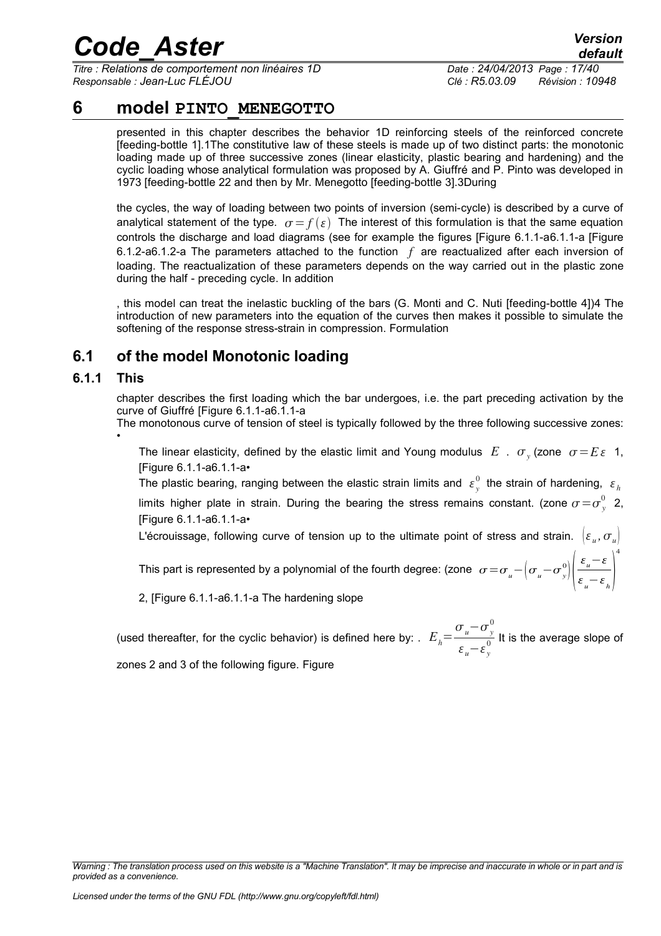*Titre : Relations de comportement non linéaires 1D Date : 24/04/2013 Page : 17/40 Responsable : Jean-Luc FLÉJOU Clé : R5.03.09 Révision : 10948*

*default*

4

## **6 model PINTO\_MENEGOTTO**

<span id="page-16-0"></span>presented in this chapter describes the behavior 1D reinforcing steels of the reinforced concrete [feeding-bottle 1][.1T](#page-39-5)he constitutive law of these steels is made up of two distinct parts: the monotonic loading made up of three successive zones (linear elasticity, plastic bearing and hardening) and the cyclic loading whose analytical formulation was proposed by A. Giuffré and P. Pinto was developed in 1973 [feeding-bottle [22](#page-39-4) and then by Mr. Menegotto [feeding-bottle 3][.3D](#page-39-3)uring

the cycles, the way of loading between two points of inversion (semi-cycle) is described by a curve of analytical statement of the type.  $\sigma = f(\varepsilon)$  The interest of this formulation is that the same equation controls the discharge and load diagrams (see for example the figures [Figure 6.1.1-[a6.1.1-a](#page-17-1) [Figure 6.1.2-[a6.1.2-a](#page-18-0) The parameters attached to the function *f* are reactualized after each inversion of loading. The reactualization of these parameters depends on the way carried out in the plastic zone during the half - preceding cycle. In addition

, this model can treat the inelastic buckling of the bars (G. Monti and C. Nuti [feeding-bottle 4][\)4](#page-39-2) The introduction of new parameters into the equation of the curves then makes it possible to simulate the softening of the response stress-strain in compression. Formulation

## **6.1 of the model Monotonic loading**

### **6.1.1 This**

<span id="page-16-2"></span><span id="page-16-1"></span>chapter describes the first loading which the bar undergoes, i.e. the part preceding activation by the curve of Giuffré [Figure 6.1.1-[a6.1.1-a](#page-17-1)

The monotonous curve of tension of steel is typically followed by the three following successive zones: •

The linear elasticity, defined by the elastic limit and Young modulus  $E$  .  $\sigma_y$  (zone  $\sigma = E \varepsilon$  1, [Figure 6.1.1-[a6.1.1-a•](#page-17-1)

The plastic bearing, ranging between the elastic strain limits and  $\,\varepsilon_{_y}^0\,$  the strain of hardening,  $\,\varepsilon_{_h}$ limits higher plate in strain. During the bearing the stress remains constant. (zone  $\sigma \!=\! \sigma_{_y}^0\!$  2,

[Figure 6.1.1-[a6.1.1-a•](#page-17-1)

L'écrouissage, following curve of tension up to the ultimate point of stress and strain.  $\vec{z}_u, \sigma_u\vec{u}_u$ 

This part is represented by a polynomial of the fourth degree: (zone  $\sigma = \sigma_u - (\sigma_u - \sigma_v^0) \Big| \frac{d\sigma_u}{\epsilon}$  $\varepsilon$ <sub>*u</sub>*− $\varepsilon$ </sub>  $\left[ \varepsilon_u - \varepsilon_h \right]$ 

2, [Figure 6.1.1-[a6.1.1-a](#page-17-1) The hardening slope

(used thereafter, for the cyclic behavior) is defined here by: .  $E_{h}$ =  $\sigma_u - \sigma_y^0$  $\frac{u}{\epsilon_u-\epsilon_y^0}$  It is the average slope of

zones 2 and 3 of the following figure. Figure

*Warning : The translation process used on this website is a "Machine Translation". It may be imprecise and inaccurate in whole or in part and is provided as a convenience.*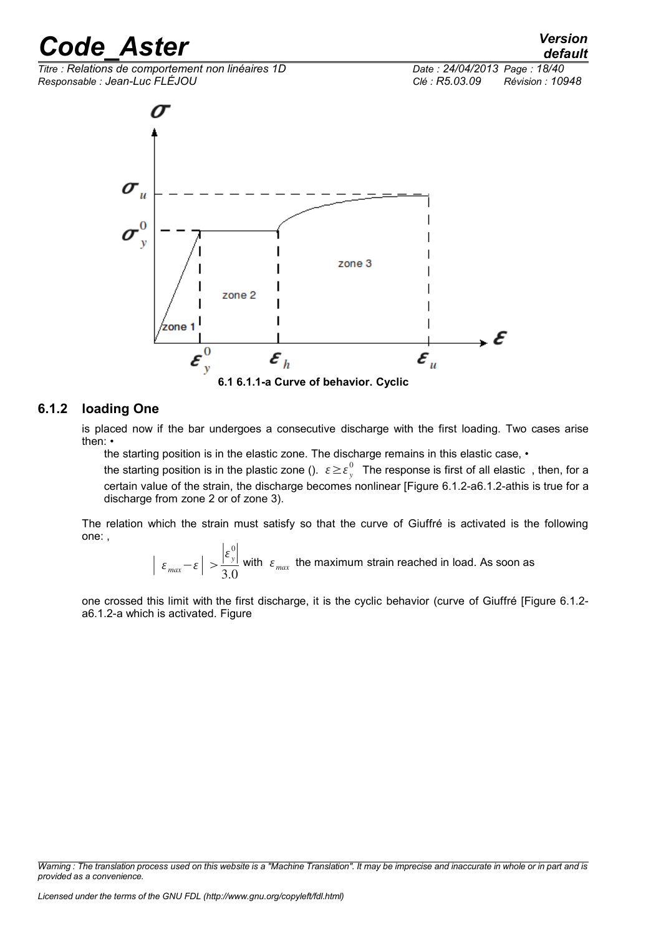*Titre : Relations de comportement non linéaires 1D Date : 24/04/2013 Page : 18/40 Responsable : Jean-Luc FLÉJOU Clé : R5.03.09 Révision : 10948*



### **6.1.2 loading One**

<span id="page-17-0"></span>is placed now if the bar undergoes a consecutive discharge with the first loading. Two cases arise then: •

<span id="page-17-1"></span>the starting position is in the elastic zone. The discharge remains in this elastic case, •

the starting position is in the plastic zone ().  $\;\varepsilon\!\geq\!\varepsilon_y^0\;$  The response is first of all elastic  $\;$ , then, for a certain value of the strain, the discharge becomes nonlinear [Figure 6.1.2-[a6.1.2-at](#page-18-0)his is true for a discharge from zone 2 or of zone 3).

The relation which the strain must satisfy so that the curve of Giuffré is activated is the following one: ,  $|-\alpha|$ 

$$
\left| \varepsilon_{max} - \varepsilon \right| > \frac{\left| \varepsilon_{y}^{0} \right|}{3.0}
$$
 with  $\varepsilon_{max}$  the maximum strain reached in load. As soon as

one crossed this limit with the first discharge, it is the cyclic behavior (curve of Giuffré [Figure 6.1.2 [a6.1.2-a](#page-18-0) which is activated. Figure

*Warning : The translation process used on this website is a "Machine Translation". It may be imprecise and inaccurate in whole or in part and is provided as a convenience.*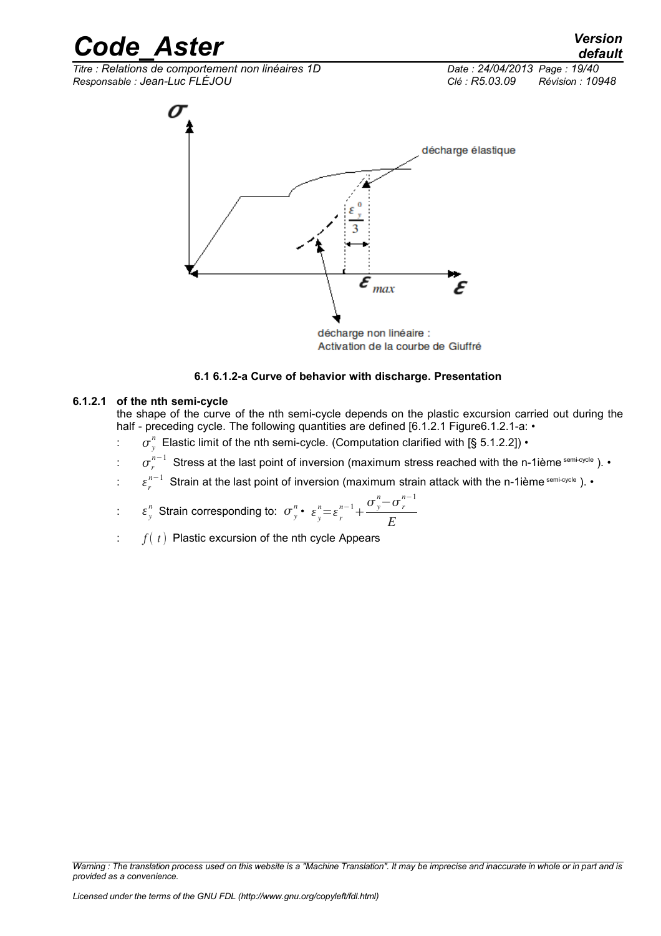*Titre : Relations de comportement non linéaires 1D Date : 24/04/2013 Page : 19/40 Responsable : Jean-Luc FLÉJOU Clé : R5.03.09 Révision : 10948*

*default*



*Code\_Aster Version*

#### <span id="page-18-0"></span>**6.1 6.1.2-a Curve of behavior with discharge. Presentation**

#### **6.1.2.1 of the nth semi-cycle**

the shape of the curve of the nth semi-cycle depends on the plastic excursion carried out during the half - preceding cycle. The following quantities are defined [6.1.2.1 Figur[e6.1.2.1-a:](#page-19-0) •

- :  $\sigma_y^n$  Elastic limit of the nth semi-cycle. (Computation clarified with [§ 5.1.2.2]) •
- :  $\sigma_r^{n-1}$ Stress at the last point of inversion (maximum stress reached with the n-1ième semi-cycle). •
- :  $\varepsilon'_r$ *n*−1 Strain at the last point of inversion (maximum strain attack with the n-1ième semi-cycle). •
- *v*<sub>*s*</sub><sup>*n*</sup> Strain corresponding to:  $\sigma_y^n$   $\varepsilon_y^n = \varepsilon_r^{n-1} + \frac{\sigma_y^n \sigma_r^{n-1}}{F}$ *E*
- $\cdot$   $f(t)$  Plastic excursion of the nth cycle Appears

*Warning : The translation process used on this website is a "Machine Translation". It may be imprecise and inaccurate in whole or in part and is provided as a convenience.*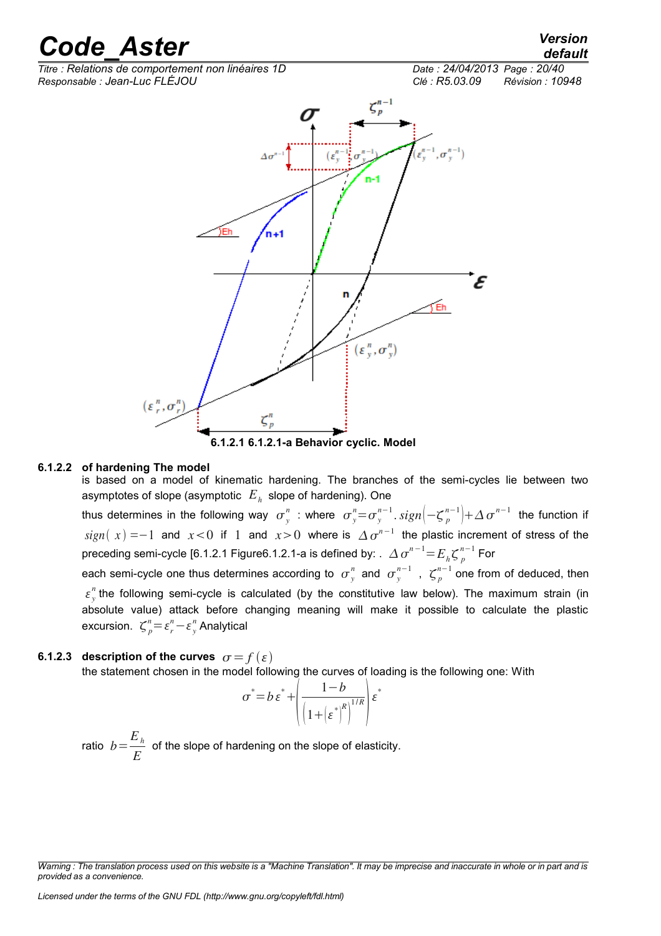*default*

*Titre : Relations de comportement non linéaires 1D Date : 24/04/2013 Page : 20/40 Responsable : Jean-Luc FLÉJOU Clé : R5.03.09 Révision : 10948*





#### **6.1.2.2 of hardening The model**

<span id="page-19-0"></span>is based on a model of kinematic hardening. The branches of the semi-cycles lie between two asymptotes of slope (asymptotic  $|E_h|$  slope of hardening). One

thus determines in the following way  $\sigma^n_y$  : where  $\sigma^n_y = \sigma^{n-1}_y$  *sign* $\left(-\zeta^{n-1}_p\right) + \Delta\,\sigma^{n-1}$  the function if  $sign( x ) = -1$  and  $x < 0$  if 1 and  $x > 0$  where is  $\Delta \sigma^{n-1}$  the plastic increment of stress of the preceding semi-cycle [6.1.2.1 Figur[e6.1.2.1-a](#page-19-0) is defined by: .  $\varDelta \, \sigma^{n-1} \! = \! E_{_h} \zeta_{_p}^{n-1}$  For

each semi-cycle one thus determines according to  $\sigma^n_y$  and  $\sigma^{n-1}_y$  ,  $\zeta_p^{n-1}$  one from of deduced, then  $\varepsilon_{y}^{n}$  the following semi-cycle is calculated (by the constitutive law below). The maximum strain (in absolute value) attack before changing meaning will make it possible to calculate the plastic excursion.  $\zeta_p^n = \varepsilon_r^n - \varepsilon_y^n$  Analytical

### **6.1.2.3 description of the curves**  $\sigma = f(\epsilon)$

the statement chosen in the model following the curves of loading is the following one: With

$$
\sigma^* = b \, \varepsilon^* + \left( \frac{1 - b}{\left( 1 + \left( \varepsilon^* \right)^R \right)^{1/R}} \right) \varepsilon^*
$$

ratio  $b = \frac{E_h}{E_h}$ *E* of the slope of hardening on the slope of elasticity.

*Licensed under the terms of the GNU FDL (http://www.gnu.org/copyleft/fdl.html)*

*Warning : The translation process used on this website is a "Machine Translation". It may be imprecise and inaccurate in whole or in part and is provided as a convenience.*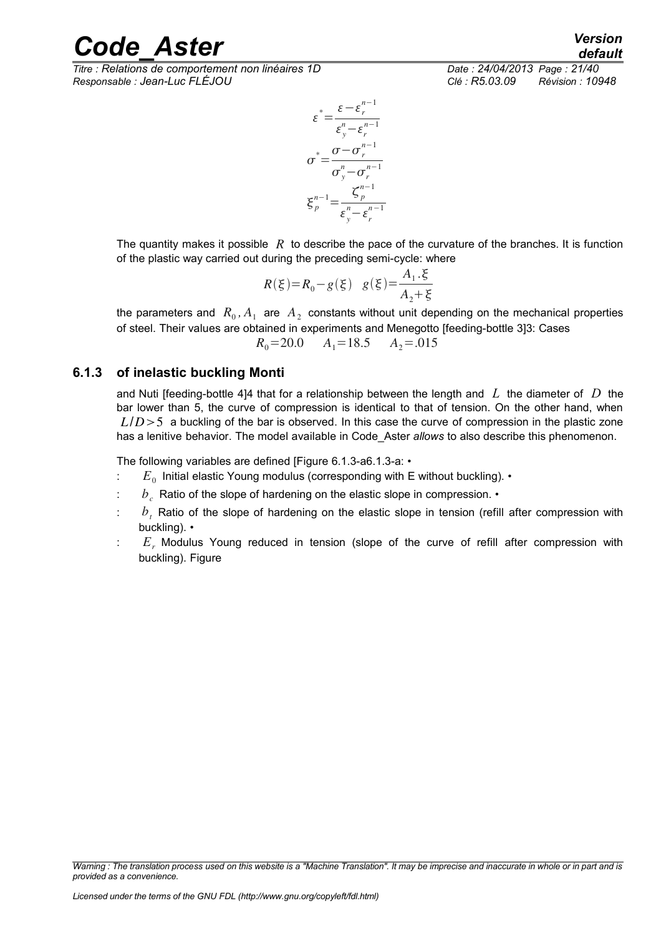*Titre : Relations de comportement non linéaires 1D Date : 24/04/2013 Page : 21/40 Responsable : Jean-Luc FLÉJOU Clé : R5.03.09 Révision : 10948*

$$
\varepsilon^* = \frac{\varepsilon - \varepsilon_r^{n-1}}{\varepsilon_y^n - \varepsilon_r^{n-1}}
$$

$$
\sigma^* = \frac{\sigma - \sigma_r^{n-1}}{\sigma_y^n - \sigma_r^{n-1}}
$$

$$
\xi_p^{n-1} = \frac{\zeta_p^{n-1}}{\varepsilon_y^n - \varepsilon_r^{n-1}}
$$

The quantity makes it possible  $R$  to describe the pace of the curvature of the branches. It is function of the plastic way carried out during the preceding semi-cycle: where

$$
R(\xi) = R_0 - g(\xi) \quad g(\xi) = \frac{A_1 \cdot \xi}{A_2 + \xi}
$$

the parameters and  $R_0$ ,  $A_1$  are  $A_2$  constants without unit depending on the mechanical properties of steel. Their values are obtained in experiments and Menegotto [feeding-bottle 3[\]3:](#page-39-3) Cases

$$
R_0 = 20.0 \qquad A_1 = 18.5 \qquad A_2 = .015
$$

### **6.1.3 of inelastic buckling Monti**

<span id="page-20-0"></span>and Nuti [feeding-bottle 4[\]4](#page-39-2) that for a relationship between the length and *L* the diameter of *D* the bar lower than 5, the curve of compression is identical to that of tension. On the other hand, when *L*/*D*5 a buckling of the bar is observed. In this case the curve of compression in the plastic zone has a lenitive behavior. The model available in Code\_Aster *allows* to also describe this phenomenon.

The following variables are defined [Figure 6.1.3-[a6.1.3-a:](#page-21-0) •

- :  $E_{0}^{\top}$  Initial elastic Young modulus (corresponding with E without buckling).  $\bullet$
- : *b<sup>c</sup>* Ratio of the slope of hardening on the elastic slope in compression. •
- b<sub>t</sub> Ratio of the slope of hardening on the elastic slope in tension (refill after compression with buckling). •
- : *E<sup>r</sup>* Modulus Young reduced in tension (slope of the curve of refill after compression with buckling). Figure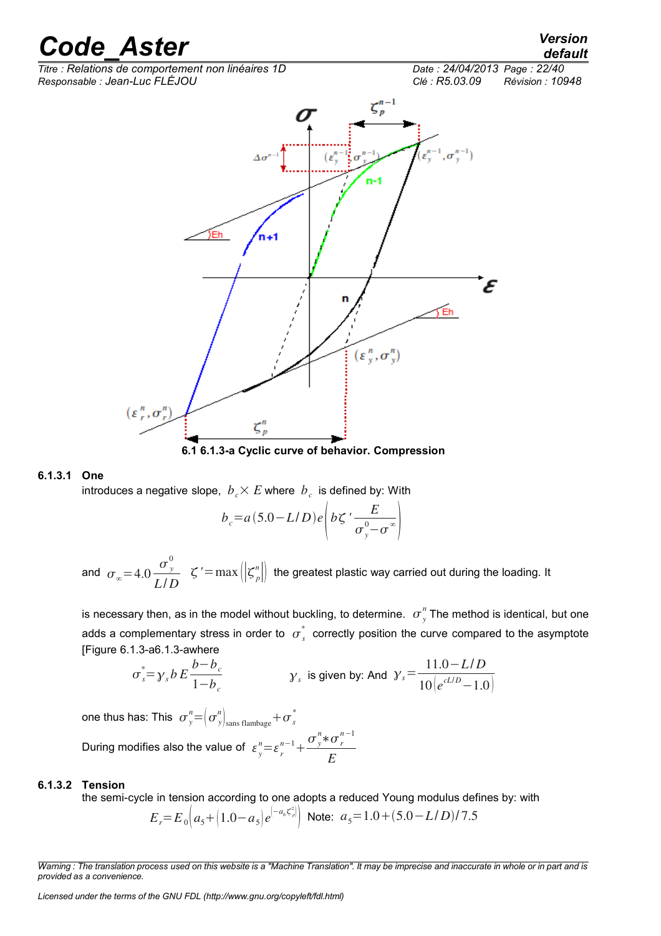*default*

*Titre : Relations de comportement non linéaires 1D Date : 24/04/2013 Page : 22/40*



#### **6.1.3.1 One**

introduces a negative slope,  $\left.b_{c}\times E\right.$  where  $\left.b_{c}\right.$  is defined by: With

<span id="page-21-0"></span>
$$
b_c = a (5.0 - L/D) e \left( b \zeta' \frac{E}{\sigma_y^0 - \sigma^{\infty}} \right)
$$

and  $\sigma_{\infty}$ =4.0  $\sigma_y^0$  $\frac{O_y}{L/D}$   $\zeta' = \max \left( \left| \zeta_p^n \right| \right)$  the greatest plastic way carried out during the loading. It

is necessary then, as in the model without buckling, to determine.  $\sigma_{_y}^n$  The method is identical, but one adds a complementary stress in order to  $\sigma_s^*$  correctly position the curve compared to the asymptote [Figure 6.1.3-[a6.1.3-aw](#page-21-0)here

$$
\sigma_s^* = \gamma_s b \, E \, \frac{b - b_c}{1 - b_c}
$$
\n
$$
\gamma_s \text{ is given by: And } \gamma_s = \frac{11.0 - L/D}{10 \left(e^{cL/D} - 1.0\right)}
$$

one thus has: This  $\sigma^n_y\!\!=\!\!\left(\sigma^n_y\!\right)_{\rm sans\ flambda ge}\!+\!\sigma_s^*$ During modifies also the value of  $\varepsilon_{y}^{n} = \varepsilon_{r}^{n-1} + \frac{\sigma_{y}^{n} * \sigma_{r}^{n-1}}{\varepsilon}$ *E*

#### **6.1.3.2 Tension**

the semi-cycle in tension according to one adopts a reduced Young modulus defines by: with

$$
E_r = E_0 \Big( a_5 + (1.0 - a_5) e^{(-a_6 \zeta_r^2)} \Big)
$$
 Note:  $a_5 = 1.0 + (5.0 - L/D) / 7.5$ 

*Warning : The translation process used on this website is a "Machine Translation". It may be imprecise and inaccurate in whole or in part and is provided as a convenience.*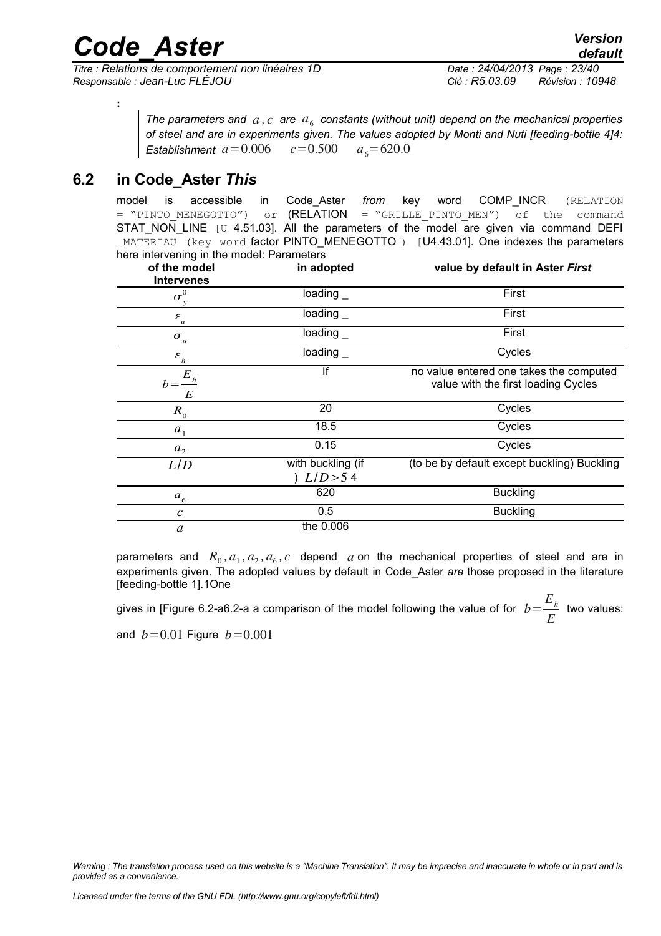**:** 

The parameters and  $a, c$  are  $a_6$  constants (without unit) depend on the mechanical properties *of steel and are in experiments given. The values adopted by Monti and Nuti [feeding-bottle 4[\]4:](#page-39-2) Establishment*  $a = 0.006$   $c = 0.500$   $a_6 = 620.0$ 

## **6.2 in Code\_Aster** *This*

<span id="page-22-0"></span>model is accessible in Code\_Aster *from* key word COMP\_INCR (RELATION  $=$  "PINTO MENEGOTTO") or (RELATION = "GRILLE PINTO MEN") of the command STAT NON LINE  $[U 4.51.03]$ . All the parameters of the model are given via command DEFI MATERIAU (key word factor PINTO\_MENEGOTTO) [U4.43.01]. One indexes the parameters here intervening in the model: Parameters

| of the model<br><b>Intervenes</b> | in adopted                      | value by default in Aster First                                                |
|-----------------------------------|---------------------------------|--------------------------------------------------------------------------------|
| $\sigma^0$                        | loading $\_$                    | First                                                                          |
| ε<br>$\boldsymbol{u}$             | loading $\_$                    | First                                                                          |
| $\sigma$<br>$\boldsymbol{u}$      | $\overline{\text{loading}}$     | First                                                                          |
| $\varepsilon_{_h}$                | loading $\_$                    | Cycles                                                                         |
| $b = \frac{E_h}{\sqrt{2}}$<br>E   | If                              | no value entered one takes the computed<br>value with the first loading Cycles |
| $R_{0}$                           | 20                              | Cycles                                                                         |
| $a_1$                             | 18.5                            | Cycles                                                                         |
| a <sub>2</sub>                    | 0.15                            | Cycles                                                                         |
| L/D                               | with buckling (if<br>$L/D$ > 54 | (to be by default except buckling) Buckling                                    |
| $a_{6}$                           | 620                             | <b>Buckling</b>                                                                |
| $\mathcal{C}$                     | 0.5                             | <b>Buckling</b>                                                                |
| a                                 | the 0.006                       |                                                                                |

parameters and  $R_0$ ,  $a_1$ ,  $a_2$ ,  $a_6$ , c depend  $a$  on the mechanical properties of steel and are in experiments given. The adopted values by default in Code\_Aster *are* those proposed in the literature [feeding-bottle 1][.1O](#page-39-5)ne

gives in [Figure 6.2-[a6.2-a](#page-23-1) a comparison of the model following the value of for  $b\!=\!{E_h\over B}$ *E* two values:

and  $b = 0.01$  Figure  $b = 0.001$ 

*Warning : The translation process used on this website is a "Machine Translation". It may be imprecise and inaccurate in whole or in part and is provided as a convenience.*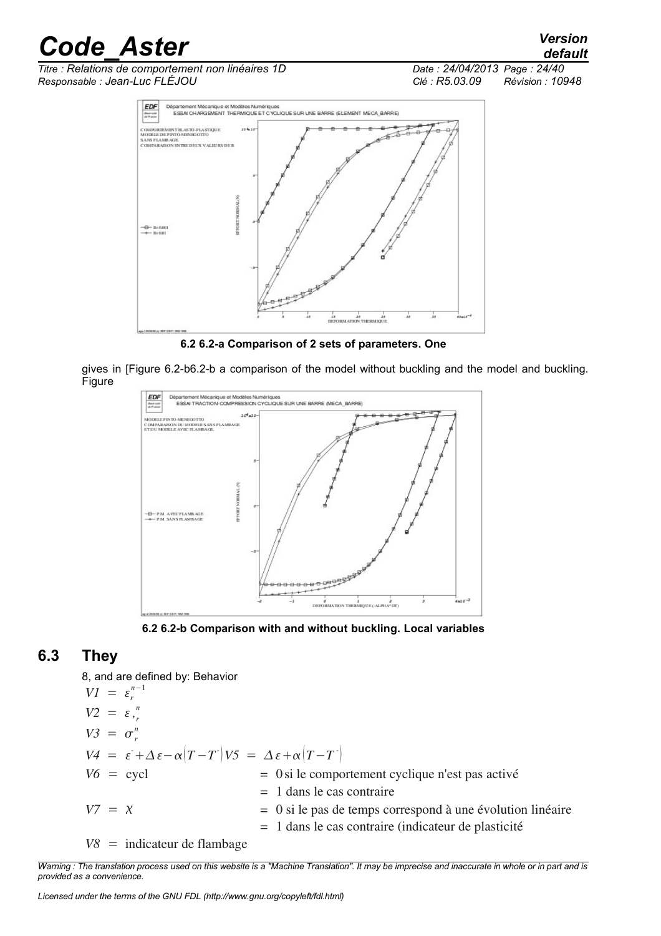*Titre : Relations de comportement non linéaires 1D Date : 24/04/2013 Page : 24/40 Responsable : Jean-Luc FLÉJOU Clé : R5.03.09 Révision : 10948*

*default*



<span id="page-23-1"></span>**6.2 6.2-a Comparison of 2 sets of parameters. One**

gives in [Figure 6.2-[b6.2-b](#page-23-2) a comparison of the model without buckling and the model and buckling. Figure



<span id="page-23-2"></span>**6.2 6.2-b Comparison with and without buckling. Local variables**

## **6.3 They**

<span id="page-23-0"></span>8, and are defined by: Behavior

$$
VI = \varepsilon_r^{n-1}
$$
  
\n
$$
V2 = \varepsilon_r^n
$$
  
\n
$$
V3 = \sigma_r^n
$$
  
\n
$$
V4 = \varepsilon^2 + \Delta \varepsilon - \alpha (T - T^2) V5 = \Delta \varepsilon + \alpha (T - T^2)
$$
  
\n
$$
V6 = \text{cycl}
$$
  
\n
$$
V7 = X
$$
  
\n
$$
V7 = \text{ialicateur de flambage}
$$
  
\n
$$
V8 = \text{indicateur de flambage}
$$
  
\n
$$
V8 = \text{indicateur de flambage}
$$

*Warning : The translation process used on this website is a "Machine Translation". It may be imprecise and inaccurate in whole or in part and is provided as a convenience.*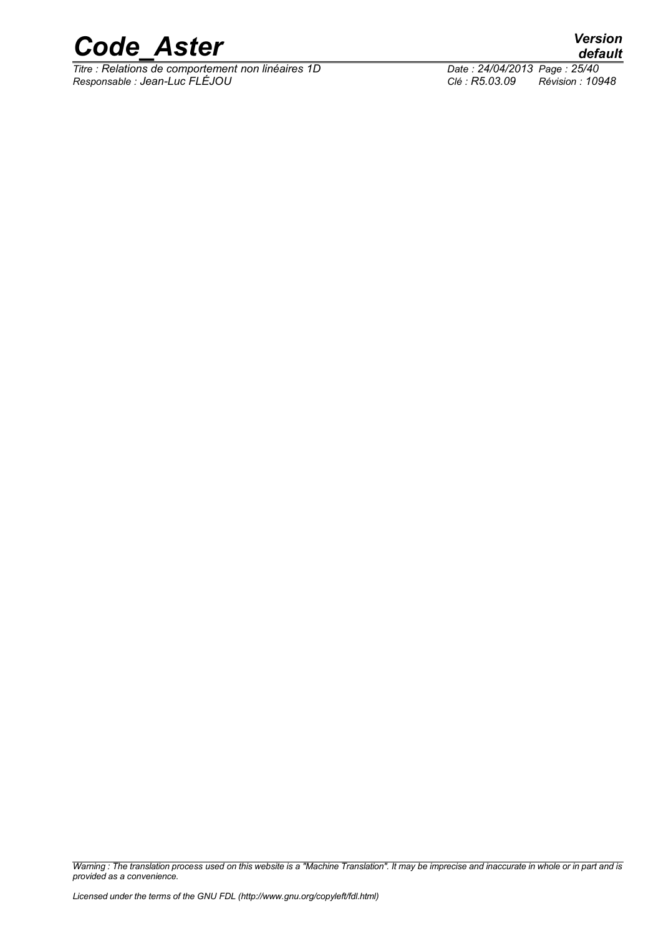

*Titre : Relations de comportement non linéaires 1D Date : 24/04/2013 Page : 25/40 Responsable : Jean-Luc FLÉJOU Clé : R5.03.09 Révision : 10948*

*default*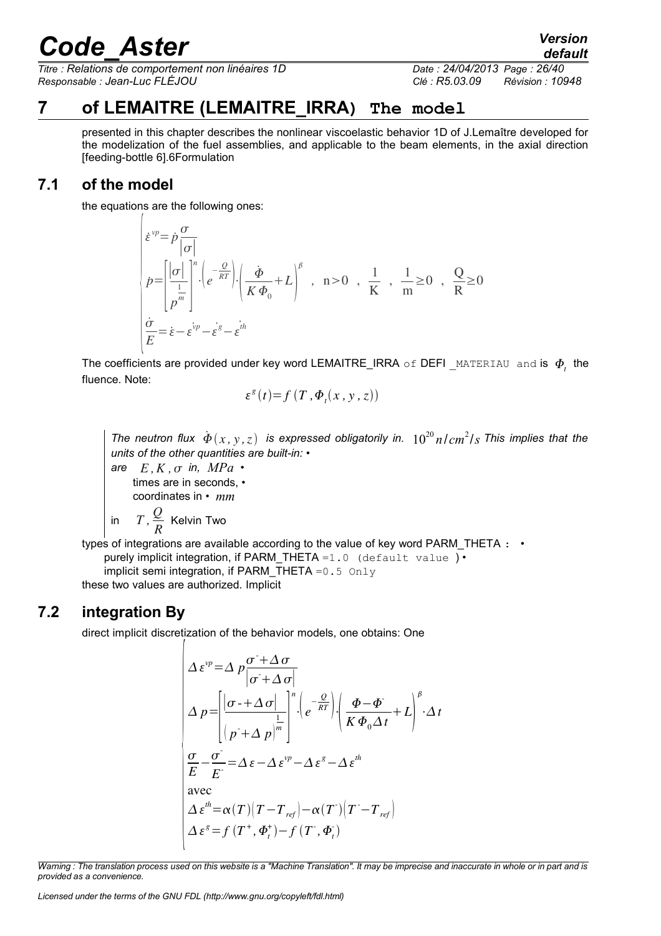*Titre : Relations de comportement non linéaires 1D Date : 24/04/2013 Page : 26/40 Responsable : Jean-Luc FLÉJOU Clé : R5.03.09 Révision : 10948*

## **7 of LEMAITRE (LEMAITRE\_IRRA) The model**

<span id="page-25-2"></span>presented in this chapter describes the nonlinear viscoelastic behavior 1D of J.Lemaître developed for the modelization of the fuel assemblies, and applicable to the beam elements, in the axial direction [feeding-bottle 6][.6F](#page-39-6)ormulation

### **7.1 of the model**

<span id="page-25-1"></span>the equations are the following ones:

$$
\begin{cases}\n\dot{\varepsilon}^{vp} = \dot{p} \frac{\sigma}{|\sigma|} \\
\dot{p} = \left[ \frac{|\sigma|}{\frac{1}{p^m}} \right]^n \cdot \left( e^{-\frac{Q}{RT}} \right) \cdot \left( \frac{\dot{\phi}}{K \phi_0} + L \right)^{\beta} , \quad n > 0 , \quad \frac{1}{K} , \quad \frac{1}{m} \ge 0 , \quad \frac{Q}{R} \ge 0 \\
\frac{\dot{\sigma}}{E} = \dot{\varepsilon} - \varepsilon^{\dot{v}p} - \dot{\varepsilon}^s - \dot{\varepsilon}^{\dot{m}}\n\end{cases}
$$

The coefficients are provided under key word LEMAITRE\_IRRA of DEFI  $\_$ MATERIAU and is  $\varPhi_{_I}$  the fluence. Note:

$$
\varepsilon^g(t) = f(T, \Phi_t(x, y, z))
$$

The neutron flux  $\dot{\Phi}(x,y,z)$  is expressed obligatorily in.  $10^{20}$   $n/cm^2$  s This implies that the *units of the other quantities are built-in: •* 

*are E ,K , in, MPa •*  times are in seconds, • coordinates in • *mm* in  $T, \frac{Q}{R}$  $\frac{\epsilon}{R}$  Kelvin Two

types of integrations are available according to the value of key word PARM\_THETA : • purely implicit integration, if PARM\_THETA =1.0 (default value). implicit semi integration, if PARM\_THETA = $0.5$  Only these two values are authorized. Implicit

### **7.2 integration By**

<span id="page-25-0"></span>direct implicit discretization of the behavior models, one obtains: One

$$
\Delta \varepsilon^{\nu p} = \Delta p \frac{\sigma^{\nu} + \Delta \sigma}{|\sigma^{\nu} + \Delta \sigma|}
$$
\n
$$
\Delta p = \left| \frac{|\sigma^{\nu} + \Delta \sigma|}{|\sigma^{\nu} + \Delta p|^{\frac{1}{m}}} \right|^n \cdot \left( e^{-\frac{Q}{RT}} \right) \cdot \left( \frac{\Phi - \Phi^{\nu}}{K \Phi_0 \Delta t} + L \right)^{\beta} \cdot \Delta t
$$
\n
$$
\frac{\sigma}{E} - \frac{\sigma^{\nu}}{E^{\nu}} = \Delta \varepsilon - \Delta \varepsilon^{\nu p} - \Delta \varepsilon^{\beta} - \Delta \varepsilon^{\mu}
$$
\navec\n
$$
\Delta \varepsilon^{\mu h} = \alpha(T) \left( T - T_{ref} \right) - \alpha(T) \left( T^{\nu} - T_{ref} \right)
$$
\n
$$
\Delta \varepsilon^{\beta} = f(T^{\mu}, \Phi_{t}^{\mu}) - f(T^{\mu}, \Phi_{t}^{\mu})
$$

*Licensed under the terms of the GNU FDL (http://www.gnu.org/copyleft/fdl.html)*

*default*

*Warning : The translation process used on this website is a "Machine Translation". It may be imprecise and inaccurate in whole or in part and is provided as a convenience.*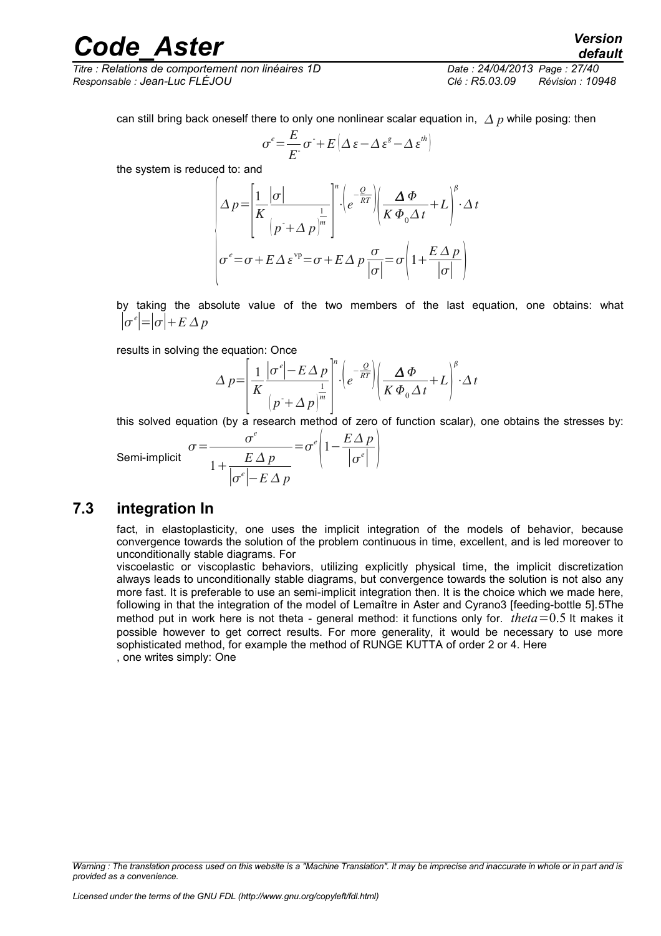*Titre : Relations de comportement non linéaires 1D Date : 24/04/2013 Page : 27/40 Responsable : Jean-Luc FLÉJOU Clé : R5.03.09 Révision : 10948*

can still bring back oneself there to only one nonlinear scalar equation in,  $\Lambda$  *p* while posing: then

$$
\sigma^e = \frac{E}{E} \sigma + E \left( \Delta \, \varepsilon - \Delta \, \varepsilon^s - \Delta \, \varepsilon^{th} \right)
$$

the system is reduced to: and

$$
\Delta p = \left[\frac{1}{K} \frac{|\sigma|}{(p + \Delta p)^{m}}\right]^{n} \cdot \left(e^{-\frac{Q}{RT}}\right) \left(\frac{\Delta \Phi}{K \Phi_{0} \Delta t} + L\right)^{\beta} \cdot \Delta t
$$

$$
\sigma^{e} = \sigma + E \Delta \varepsilon^{vp} = \sigma + E \Delta p \frac{\sigma}{|\sigma|} = \sigma \left(1 + \frac{E \Delta p}{|\sigma|}\right)
$$

by taking the absolute value of the two members of the last equation, one obtains: what  $|\sigma^e| = |\sigma| + E \Delta p$ 

results in solving the equation: Once

$$
\Delta p = \left(\frac{1}{K} \frac{\left|\sigma^e\right| - E\Delta p}{\left(p + \Delta p\right)^{\frac{1}{m}}}\right)^n \cdot \left(e^{-\frac{Q}{RT}}\right) \left(\frac{\Delta \Phi}{K \Phi_0 \Delta t} + L\right)^{\beta} \cdot \Delta t
$$

this solved equation (by a research method of zero of function scalar), one obtains the stresses by:

Semi-implicit 
$$
\sigma = \frac{\sigma^e}{1 + \frac{E \Delta p}{|\sigma^e| - E \Delta p}} = \sigma^e \left( 1 - \frac{E \Delta p}{|\sigma^e|} \right)
$$

### **7.3 integration In**

<span id="page-26-0"></span>fact, in elastoplasticity, one uses the implicit integration of the models of behavior, because convergence towards the solution of the problem continuous in time, excellent, and is led moreover to unconditionally stable diagrams. For

viscoelastic or viscoplastic behaviors, utilizing explicitly physical time, the implicit discretization always leads to unconditionally stable diagrams, but convergence towards the solution is not also any more fast. It is preferable to use an semi-implicit integration then. It is the choice which we made here, following in that the integration of the model of Lemaître in Aster and Cyrano3 [feeding-bottle 5].[5T](#page-39-7)he method put in work here is not theta - general method: it functions only for. *theta*=0.5 It makes it possible however to get correct results. For more generality, it would be necessary to use more sophisticated method, for example the method of RUNGE KUTTA of order 2 or 4. Here , one writes simply: One

*Warning : The translation process used on this website is a "Machine Translation". It may be imprecise and inaccurate in whole or in part and is provided as a convenience.*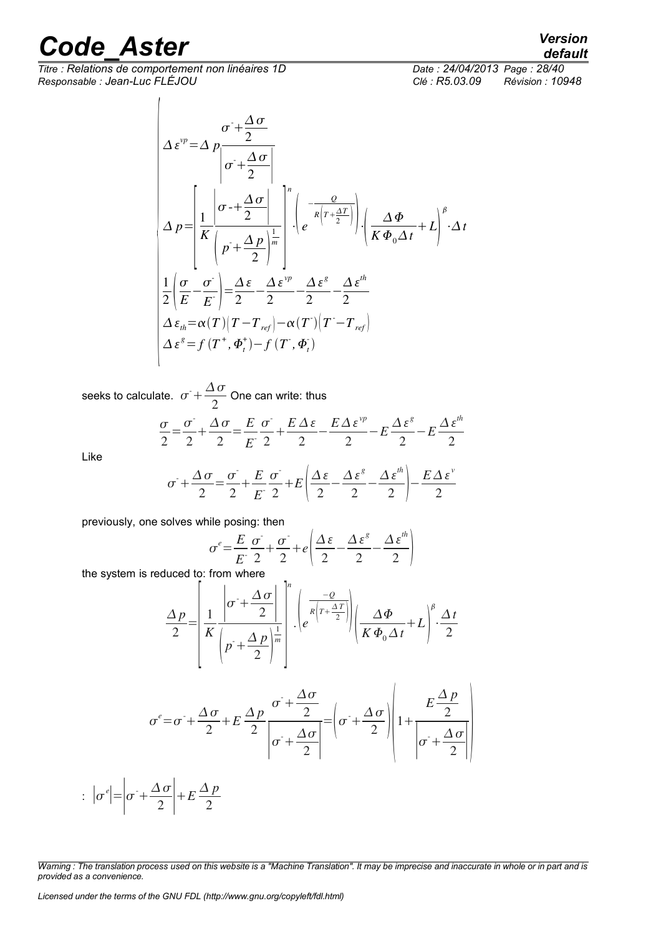*Titre : Relations de comportement non linéaires 1D Date : 24/04/2013 Page : 28/40 Responsable : Jean-Luc FLÉJOU Clé : R5.03.09 Révision : 10948*

$$
\Delta \varepsilon^{\nu p} = \Delta p \frac{\sigma + \frac{\Delta \sigma}{2}}{\sigma + \frac{\Delta \sigma}{2}}
$$
\n
$$
\Delta p = \frac{\left[1 - \frac{\sigma}{K} - \frac{\Delta \sigma}{2}\right]_0^{\nu} + \left[1 - \frac{\rho}{K} - \frac{\rho}{K} + \frac{\Delta \sigma}{2}\right]_0^{\nu}}{\left[1 - \frac{\rho}{K} + \frac{\Delta p}{2}\right]_0^{\nu}}
$$
\n
$$
\frac{\left[1 - \frac{\sigma}{K} - \frac{\sigma}{2}\right]_0^{\nu}}{\left[1 - \frac{\rho}{K} - \frac{\sigma}{2}\right]} = \frac{\Delta \varepsilon}{2} - \frac{\Delta \varepsilon^{\nu p}}{2} - \frac{\Delta \varepsilon^{\varepsilon}}{2} - \frac{\Delta \varepsilon^{\varepsilon}}{2}
$$
\n
$$
\Delta \varepsilon_{n} = \alpha(T) \left[T - T_{ref}\right] - \alpha(T) \left[T - T_{ref}\right]
$$
\n
$$
\Delta \varepsilon^{\varepsilon} = f(T^*, \Phi_t^*) - f(T^*, \Phi_t^*)
$$

seeks to calculate.  $\sigma + \frac{\Delta \sigma}{2}$  $\frac{20}{2}$  One can write: thus

$$
\frac{\sigma}{2} = \frac{\sigma}{2} + \frac{\Delta \sigma}{2} = \frac{E}{E} \frac{\sigma}{2} + \frac{E \Delta \varepsilon}{2} - \frac{E \Delta \varepsilon^{\nu p}}{2} - E \frac{\Delta \varepsilon^{\varepsilon}}{2} - E \frac{\Delta \varepsilon^{\varepsilon^{\varepsilon}}}{2}
$$

Like

$$
\sigma^2 + \frac{\Delta \sigma}{2} = \frac{\sigma^2}{2} + \frac{E}{E} \frac{\sigma^2}{2} + E \left( \frac{\Delta \varepsilon}{2} - \frac{\Delta \varepsilon^8}{2} - \frac{\Delta \varepsilon^{th}}{2} \right) - \frac{E \Delta \varepsilon^{\nu}}{2}
$$

previously, one solves while posing: then

$$
\sigma^{e} = \frac{E}{E} \frac{\sigma}{2} + \frac{\sigma}{2} + e \left( \frac{\Delta \varepsilon}{2} - \frac{\Delta \varepsilon^{g}}{2} - \frac{\Delta \varepsilon^{h}}{2} \right)
$$

the system is reduced to: from where

$$
\frac{\Delta p}{2} = \left[ \frac{1}{K} \frac{\left| \sigma^2 + \frac{\Delta \sigma}{2} \right|}{\left( p^2 + \frac{\Delta p}{2} \right)^{\frac{1}{m}}} \right] \cdot \left( e^{\frac{-Q}{R \left( r + \frac{\Delta T}{2} \right)}} \right) \left( \frac{\Delta \Phi}{K \Phi_0 \Delta t} + L \right)^{\beta} \cdot \frac{\Delta t}{2}
$$

$$
\sigma^{e} = \sigma + \frac{\Delta \sigma}{2} + E \frac{\Delta p}{2} \frac{\sigma^{2} + \frac{\Delta \sigma}{2}}{\left|\sigma^{2} + \frac{\Delta \sigma}{2}\right|} = \left(\sigma^{2} + \frac{\Delta \sigma}{2}\right) \left(1 + \frac{E \frac{\Delta p}{2}}{\left|\sigma^{2} + \frac{\Delta \sigma}{2}\right|}\right)
$$

 $\left| \sigma^e \right| = \left| \sigma^{\dagger} + \frac{\Delta \sigma}{2} \right| + E \frac{\Delta p}{2}$ 2

*Licensed under the terms of the GNU FDL (http://www.gnu.org/copyleft/fdl.html)*

*Warning : The translation process used on this website is a "Machine Translation". It may be imprecise and inaccurate in whole or in part and is provided as a convenience.*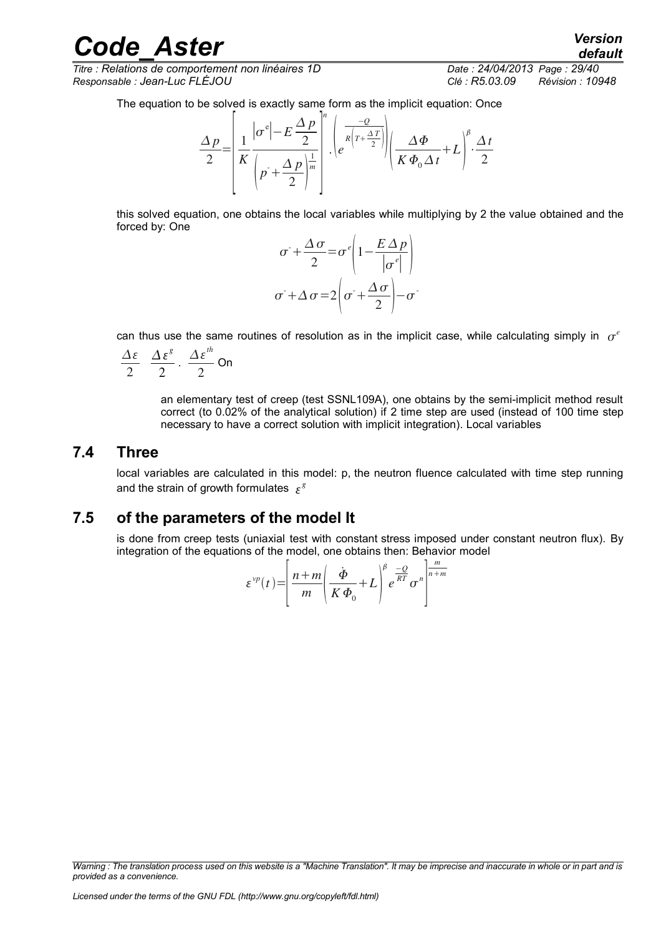*Titre : Relations de comportement non linéaires 1D Date : 24/04/2013 Page : 29/40 Responsable : Jean-Luc FLÉJOU Clé : R5.03.09 Révision : 10948*

The equation to be solved is exactly same form as the implicit equation: Once

$$
\frac{\Delta p}{2} = \left[ \frac{1}{K} \frac{|\sigma^e| - E \frac{\Delta p}{2}}{\left(p + \frac{\Delta p}{2}\right)^{\frac{1}{m}}} \right]^n \cdot \left( e^{\frac{-Q}{R\left(r + \frac{\Delta T}{2}\right)}} \right) \left( \frac{\Delta \Phi}{K \Phi_0 \Delta t} + L \right)^{\beta} \cdot \frac{\Delta t}{2}
$$

this solved equation, one obtains the local variables while multiplying by 2 the value obtained and the forced by: One

$$
\sigma^2 + \frac{\Delta \sigma}{2} = \sigma^e \left( 1 - \frac{E \Delta p}{|\sigma^e|} \right)
$$

$$
\sigma^2 + \Delta \sigma = 2 \left( \sigma^2 + \frac{\Delta \sigma}{2} \right) - \sigma^2
$$

can thus use the same routines of resolution as in the implicit case, while calculating simply in  $\sigma^e$ 

$$
\frac{\Delta \varepsilon}{2} \frac{\Delta \varepsilon^s}{2} \cdot \frac{\Delta \varepsilon^{th}}{2} \text{On}
$$

an elementary test of creep (test SSNL109A), one obtains by the semi-implicit method result correct (to 0.02% of the analytical solution) if 2 time step are used (instead of 100 time step necessary to have a correct solution with implicit integration). Local variables

### **7.4 Three**

<span id="page-28-1"></span>local variables are calculated in this model: p, the neutron fluence calculated with time step running and the strain of growth formulates  $\epsilon^g$ 

### **7.5 of the parameters of the model It**

<span id="page-28-0"></span>is done from creep tests (uniaxial test with constant stress imposed under constant neutron flux). By integration of the equations of the model, one obtains then: Behavior model

$$
\varepsilon^{\nu p}(t) = \left[\frac{n+m}{m}\left(\frac{\dot{\Phi}}{K\Phi_0} + L\right)^{\beta} e^{\frac{-Q}{KT}} \sigma^n\right]^{\frac{m}{n+m}}
$$

*Warning : The translation process used on this website is a "Machine Translation". It may be imprecise and inaccurate in whole or in part and is provided as a convenience.*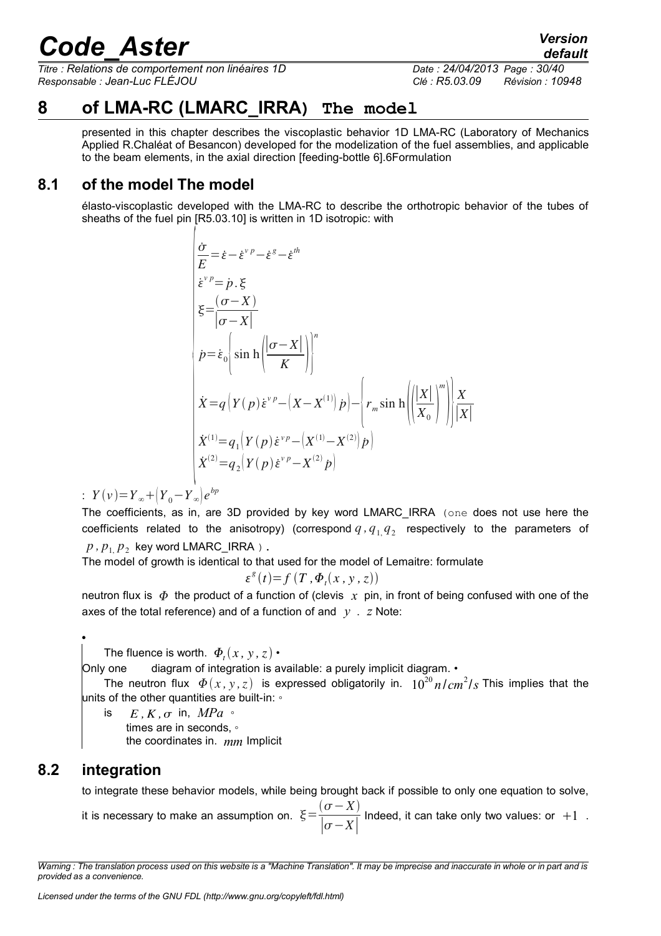*Titre : Relations de comportement non linéaires 1D Date : 24/04/2013 Page : 30/40 Responsable : Jean-Luc FLÉJOU Clé : R5.03.09 Révision : 10948*

## **8 of LMA-RC (LMARC\_IRRA) The model**

<span id="page-29-2"></span>presented in this chapter describes the viscoplastic behavior 1D LMA-RC (Laboratory of Mechanics Applied R.Chaléat of Besancon) developed for the modelization of the fuel assemblies, and applicable to the beam elements, in the axial direction [feeding-bottle 6][.6F](#page-39-6)ormulation

### **8.1 of the model The model**

<span id="page-29-1"></span>élasto-viscoplastic developed with the LMA-RC to describe the orthotropic behavior of the tubes of sheaths of the fuel pin [R5.03.10] is written in 1D isotropic: with

$$
\begin{aligned}\n\frac{\partial}{\partial t} &= \dot{\varepsilon} - \dot{\varepsilon}^{\nu p} - \dot{\varepsilon}^{\varepsilon} - \dot{\varepsilon}^{\varepsilon h} \\
\dot{\varepsilon}^{\nu p} &= \dot{p} \cdot \xi \\
\xi &= \frac{(\sigma - X)}{|\sigma - X|} \\
\dot{p} &= \dot{\varepsilon}_0 \left\{ \sin \left( \frac{|\sigma - X|}{K} \right) \right\}^n \\
\dot{X} &= q \left( Y(p) \dot{\varepsilon}^{\nu p} - \left( X - X^{(1)} \right) p \right) - \left\{ r_m \sin \left( \frac{\left| X \right|}{X_0} \right)^m \right\} \left| \frac{X}{|X|} \\
\dot{X}^{(1)} &= q_1 \left( Y(p) \dot{\varepsilon}^{\nu p} - \left( X^{(1)} - X^{(2)} \right) p \right) \\
\dot{X}^{(2)} &= q_2 \left( Y(p) \dot{\varepsilon}^{\nu p} - X^{(2)} p \right)\n\end{aligned}
$$

:  $Y(v) = Y_{\infty} + (Y_0 - Y_{\infty})e^{bp}$ 

The coefficients, as in, are 3D provided by key word LMARC\_IRRA (one does not use here the coefficients related to the anisotropy) (correspond  $q$ ,  $q_1$ ,  $q_2$  respectively to the parameters of  $p$  ,  $p_{1,}p_{2,}$  key word LMARC\_IRRA  $)$  .

The model of growth is identical to that used for the model of Lemaitre: formulate

 $\mathcal{E}$ 

$$
^{g}(t)=f(T,\Phi_{t}(x,y,z))
$$

neutron flux is  $\Phi$  the product of a function of (clevis x pin, in front of being confused with one of the axes of the total reference) and of a function of and  $y \cdot z$  Note:

The fluence is worth.  $\boldsymbol{\varPhi}_t(x,\,y,\,z)\,\boldsymbol{\cdot}\,$ 

Only one diagram of integration is available: a purely implicit diagram. •

The neutron flux  $\Phi(x, y, z)$  is expressed obligatorily in.  $10^{20}$   $n/cm^2/s$  This implies that the units of the other quantities are built-in: ◦

is  $E, K, \sigma$  in,  $MPa \circ$ times are in seconds. ◦ the coordinates in. *mm* Implicit

### **8.2 integration**

**•** 

<span id="page-29-0"></span>to integrate these behavior models, while being brought back if possible to only one equation to solve,

it is necessary to make an assumption on.  $\xi = \frac{(\sigma - X)}{1 - \sigma x}$  $|\sigma$ −*X*| Indeed, it can take only two values: or  $+1$ .

*Warning : The translation process used on this website is a "Machine Translation". It may be imprecise and inaccurate in whole or in part and is provided as a convenience.*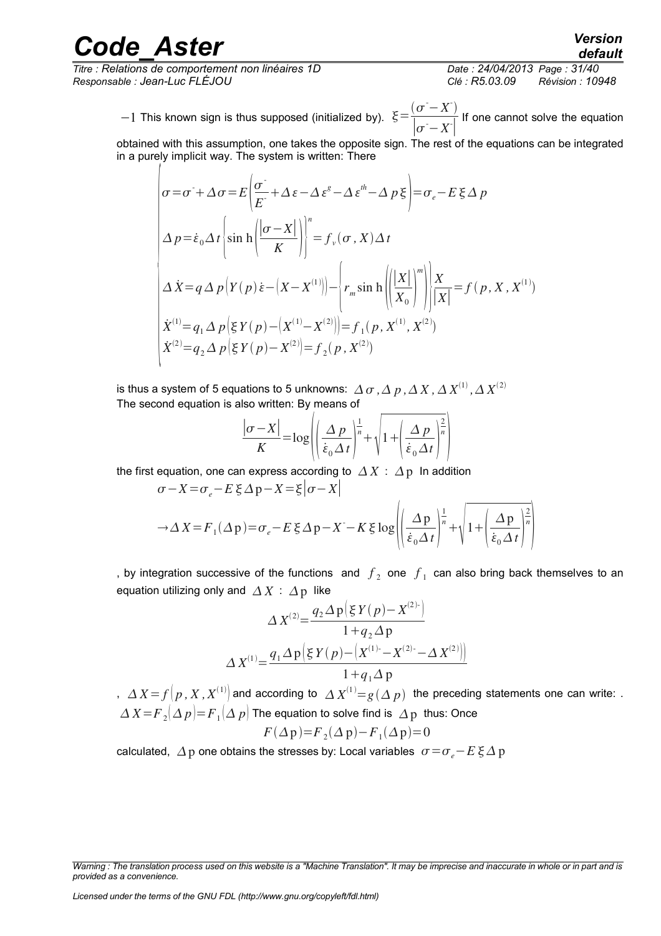*Titre : Relations de comportement non linéaires 1D Date : 24/04/2013 Page : 31/40 Responsable : Jean-Luc FLÉJOU Clé : R5.03.09 Révision : 10948*

 $-1$  This known sign is thus supposed (initialized by).  $\xi = \frac{(\sigma^2 - X)}{|\sigma^2 - \sigma^2|}$  $|\sigma$ <sup>-</sup>−*X*<sup>-</sup> $|$ If one cannot solve the equation

obtained with this assumption, one takes the opposite sign. The rest of the equations can be integrated in a purely implicit way. The system is written: There

$$
\sigma = \sigma + \Delta \sigma = E \left( \frac{\sigma^2}{E^2} + \Delta \varepsilon - \Delta \varepsilon^8 - \Delta \varepsilon^{th} - \Delta p \, \xi \right) = \sigma_e - E \, \xi \, \Delta p
$$
\n
$$
\Delta p = \dot{\varepsilon}_0 \Delta t \left\{ \sinh \left( \frac{|\sigma - X|}{K} \right) \right\}^n = f_v(\sigma, X) \Delta t
$$
\n
$$
\Delta \dot{X} = q \Delta p \left[ Y(p) \dot{\varepsilon} - \left( X - X^{(1)} \right) \right] - \left\{ r_m \sinh \left( \left( \frac{|X|}{X_0} \right)^m \right) \right\} \frac{X}{|X|} = f(p, X, X^{(1)})
$$
\n
$$
\dot{X}^{(1)} = q_1 \Delta p \left[ \xi Y(p) - \left( X^{(1)} - X^{(2)} \right) \right] = f_1(p, X^{(1)}, X^{(2)})
$$
\n
$$
\dot{X}^{(2)} = q_2 \Delta p \left[ \xi Y(p) - X^{(2)} \right] = f_2(p, X^{(2)})
$$

is thus a system of 5 equations to 5 unknowns:  $\varDelta\,\sigma$  ,  $\varDelta\,p$  ,  $\varDelta\,X$  ,  $\varDelta\,X^{(1)}$  ,  $\varDelta\,X^{(2)}$ The second equation is also written: By means of

$$
\frac{|\sigma - X|}{K} = \log \left| \left( \frac{\Delta p}{\dot{\varepsilon}_0 \Delta t} \right)^{\frac{1}{n}} + \sqrt{1 + \left( \frac{\Delta p}{\dot{\varepsilon}_0 \Delta t} \right)^{\frac{2}{n}} \right|}
$$

the first equation, one can express according to  $\Delta X : \Delta p$  In addition

$$
\sigma - X = \sigma_e - E \xi \Delta p - X = \xi |\sigma - X|
$$
  
\n
$$
\rightarrow \Delta X = F_1(\Delta p) = \sigma_e - E \xi \Delta p - X - K \xi \log \left( \frac{\Delta p}{\dot{\epsilon}_0 \Delta t} \right)^{\frac{1}{n}} + \sqrt{1 + \left( \frac{\Delta p}{\dot{\epsilon}_0 \Delta t} \right)^{\frac{2}{n}}}
$$

, by integration successive of the functions and  $f_2$  one  $f_1$  can also bring back themselves to an equation utilizing only and  $\Delta X : \Delta p$  like

$$
\Delta X^{(2)} = \frac{q_2 \Delta p \left( \xi Y(p) - X^{(2)} \right)}{1 + q_2 \Delta p}
$$

$$
\Delta X^{(1)} = \frac{q_1 \Delta p \left( \xi Y(p) - \left( X^{(1)} - X^{(2)} - \Delta X^{(2)} \right) \right)}{1 + q_1 \Delta p}
$$

,  $\varDelta\,X\!=\!f\big(p$  ,  $X$  ,  $X^{(1)}\big)$  and according to  $\varDelta\,X^{(1)}\!=\!g\,(\varDelta\,p)\;$  the preceding statements one can write: .  $\varDelta\,X\!=\!F_{\,2}|\varDelta\,p)\!=\!F_{\,1}|\varDelta\,p|$  The equation to solve find is  $\,\varDelta\,p\,$  thus: Once

$$
F(\Delta p) = F_2(\Delta p) - F_1(\Delta p) = 0
$$

calculated,  $\Delta p$  one obtains the stresses by: Local variables  $\sigma = \sigma_e - E \xi \Delta p$ 

*Warning : The translation process used on this website is a "Machine Translation". It may be imprecise and inaccurate in whole or in part and is provided as a convenience.*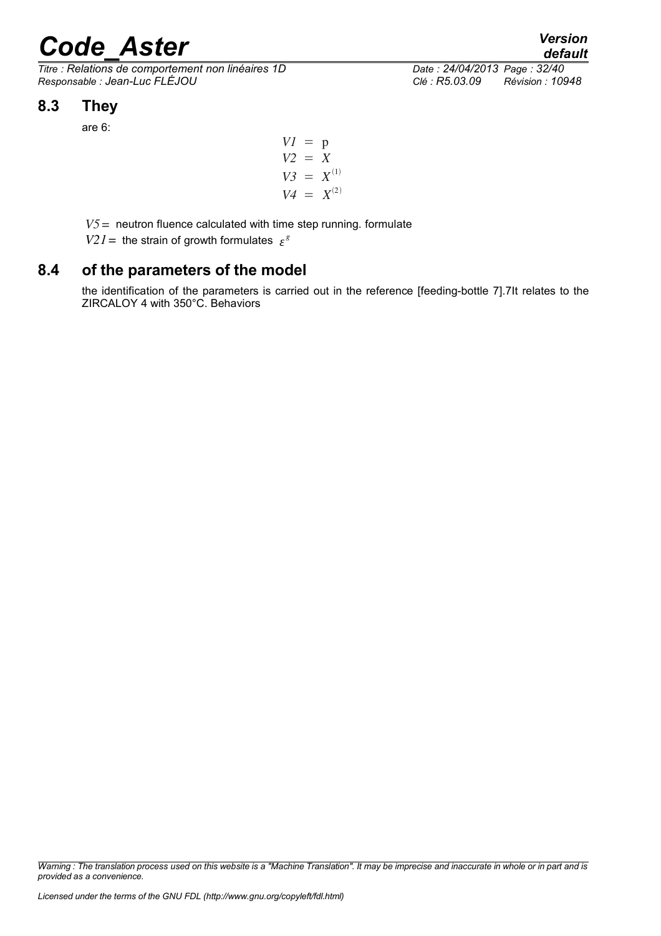$\overline{T}$ itre : Relations de comportement non linéaires 1D *Responsable : Jean-Luc FLÉJOU Clé : R5.03.09 Révision : 10948*

### **8.3 They**

<span id="page-31-1"></span>are 6:

*V1* = p *V2* = *X*  $V3 = X^{(1)}$  $V4 = X^{(2)}$ 

 $V5$  = neutron fluence calculated with time step running. formulate

*V21* = the strain of growth formulates  $\varepsilon^g$ 

### **8.4 of the parameters of the model**

<span id="page-31-0"></span>the identification of the parameters is carried out in the reference [feeding-bottle 7][.7I](#page-39-8)t relates to the ZIRCALOY 4 with 350°C. Behaviors

*Warning : The translation process used on this website is a "Machine Translation". It may be imprecise and inaccurate in whole or in part and is provided as a convenience.*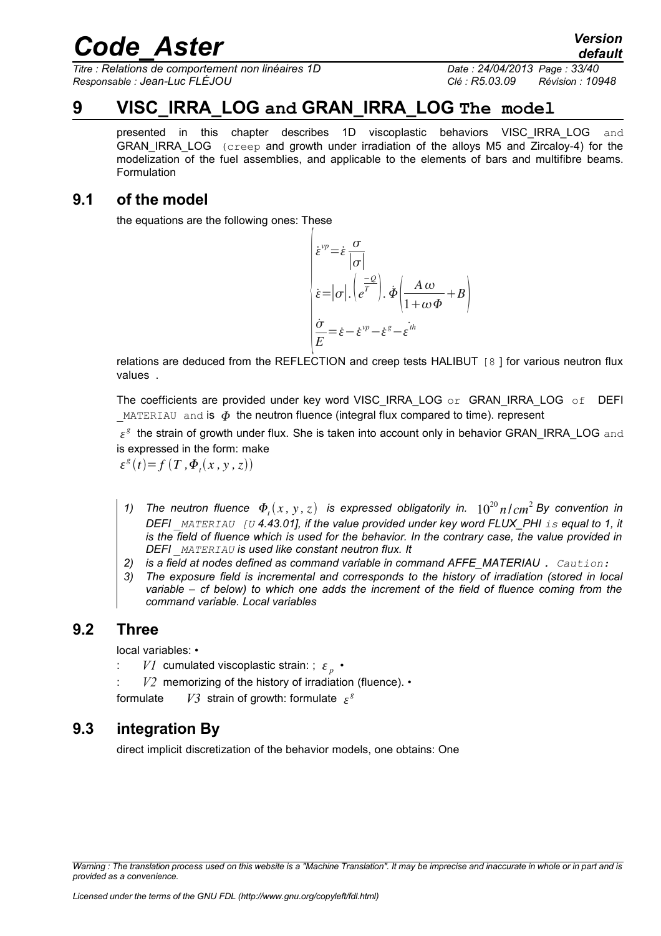*Titre : Relations de comportement non linéaires 1D Date : 24/04/2013 Page : 33/40 Responsable : Jean-Luc FLÉJOU Clé : R5.03.09 Révision : 10948*

## **9 VISC\_IRRA\_LOG and GRAN\_IRRA\_LOG The model**

<span id="page-32-3"></span>presented in this chapter describes 1D viscoplastic behaviors VISC\_IRRA\_LOG and GRAN IRRA LOG (creep and growth under irradiation of the alloys M5 and Zircaloy-4) for the modelization of the fuel assemblies, and applicable to the elements of bars and multifibre beams. Formulation

### **9.1 of the model**

<span id="page-32-2"></span>the equations are the following ones: These

$$
\begin{cases}\n\dot{\varepsilon}^{vp} = \dot{\varepsilon} \frac{\sigma}{|\sigma|} \\
\dot{\varepsilon} = |\sigma| \cdot \left( e^{\frac{-Q}{T}} \right), \, \dot{\Phi} \left( \frac{A \omega}{1 + \omega \Phi} + B \right) \\
\frac{\dot{\sigma}}{E} = \dot{\varepsilon} - \dot{\varepsilon}^{vp} - \dot{\varepsilon}^{g} - \dot{\varepsilon}^{ih}\n\end{cases}
$$

relations are deduced from the REFLECTION and creep tests HALIBUT [8] for various neutron flux values .

The coefficients are provided under key word VISC\_IRRA\_LOG or GRAN\_IRRA\_LOG of DEFI MATERIAU and is  $\phi$  the neutron fluence (integral flux compared to time). represent

 $\varepsilon^g$  the strain of growth under flux. She is taken into account only in behavior GRAN\_IRRA\_LOG and is expressed in the form: make

 $\varepsilon^{g}(t) = f(T, \Phi_{t}(x, y, z))$ 

- *1*) The neutron fluence  $\Phi_t(x, y, z)$  is expressed obligatorily in.  $10^{20} n/cm^2$  By convention in *DEFI \_MATERIAU [U 4.43.01], if the value provided under key word FLUX\_PHI is equal to 1, it is the field of fluence which is used for the behavior. In the contrary case, the value provided in DEFI \_MATERIAU is used like constant neutron flux. It*
- *2) is a field at nodes defined as command variable in command AFFE\_MATERIAU . Caution:*
- *3) The exposure field is incremental and corresponds to the history of irradiation (stored in local variable – cf below) to which one adds the increment of the field of fluence coming from the command variable. Local variables*

### **9.2 Three**

<span id="page-32-1"></span>local variables: •

- : *V1* cumulated viscoplastic strain: ;  $\varepsilon_p$  •
- $V2$  memorizing of the history of irradiation (fluence).  $\cdot$

formulate  $V3$  strain of growth: formulate  $\varepsilon^g$ 

### **9.3 integration By**

<span id="page-32-0"></span>direct implicit discretization of the behavior models, one obtains: One

*Warning : The translation process used on this website is a "Machine Translation". It may be imprecise and inaccurate in whole or in part and is provided as a convenience.*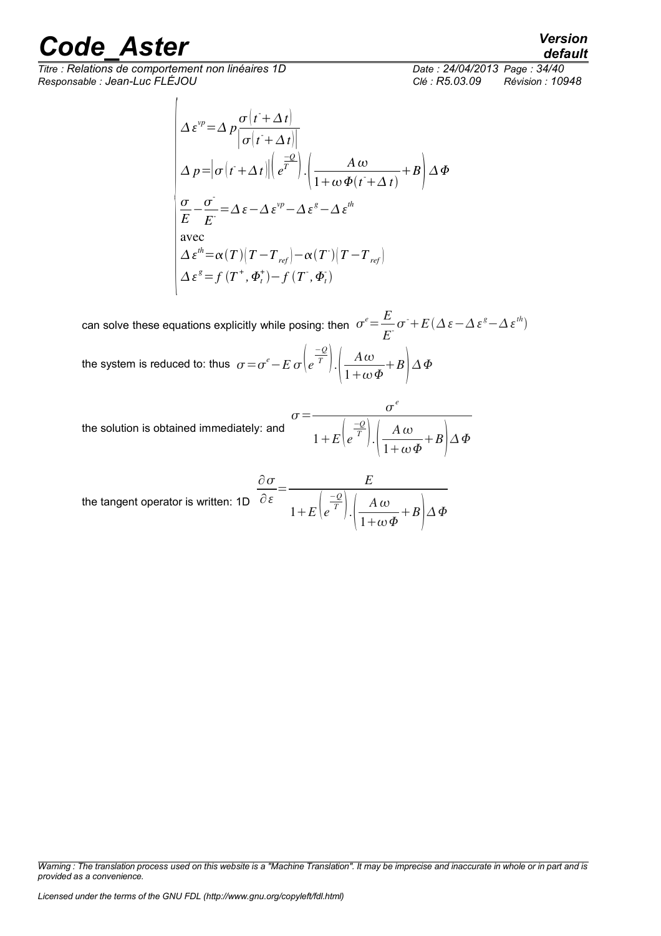$\overline{T}$ itre : Relations de comportement non linéaires 1D *Responsable : Jean-Luc FLÉJOU Clé : R5.03.09 Révision : 10948*

$$
\Delta \varepsilon^{\nu p} = \Delta p \frac{\sigma (t + \Delta t)}{|\sigma (t + \Delta t)|} \n\Delta p = |\sigma (t + \Delta t)| \left( e^{\frac{-Q}{T}} \right) \cdot \left( \frac{A \omega}{1 + \omega \Phi (t + \Delta t)} + B \right) \Delta \Phi \n\frac{\sigma}{E} - \frac{\sigma}{E} = \Delta \varepsilon - \Delta \varepsilon^{\nu p} - \Delta \varepsilon^s - \Delta \varepsilon^{\mu} \n\text{avec} \n\Delta \varepsilon^{\mu} = \alpha(T) (T - T_{ref}) - \alpha(T) (T - T_{ref}) \n\Delta \varepsilon^s = f (T^+, \Phi_t^+) - f (T, \Phi_t)
$$

can solve these equations explicitly while posing: then  $\sigma^e = \frac{E}{E}$  $\frac{E}{E} \sigma^2 + E(\Delta \varepsilon - \Delta \varepsilon^g - \Delta \varepsilon^{th})$ the system is reduced to: thus  $\sigma\!=\!\sigma^e\!-\!E\,\sigma\big\vert\, e^i$ −*Q*  $\left(\frac{PQ}{T}\right)$ .  $\left(\frac{A\omega}{1+\omega}\right)$  $\left| \frac{A\omega}{1+\omega \phi}+B\right| \Delta \phi$ 

the solution is obtained immediately: and 
$$
\sigma
$$

$$
=\frac{\sigma^e}{1+E\left(e^{\frac{-Q}{T}}\right)\cdot\left(\frac{A\omega}{1+\omega\Phi}+B\right)\Delta\Phi}
$$

the tangent operator is written: 1D 
$$
\frac{\partial \sigma}{\partial \varepsilon} = \frac{E}{1 + E \left( e^{\frac{-Q}{T}} \right) \left( \frac{A \omega}{1 + \omega \Phi} + B \right) \Delta \Phi}
$$

*Warning : The translation process used on this website is a "Machine Translation". It may be imprecise and inaccurate in whole or in part and is provided as a convenience.*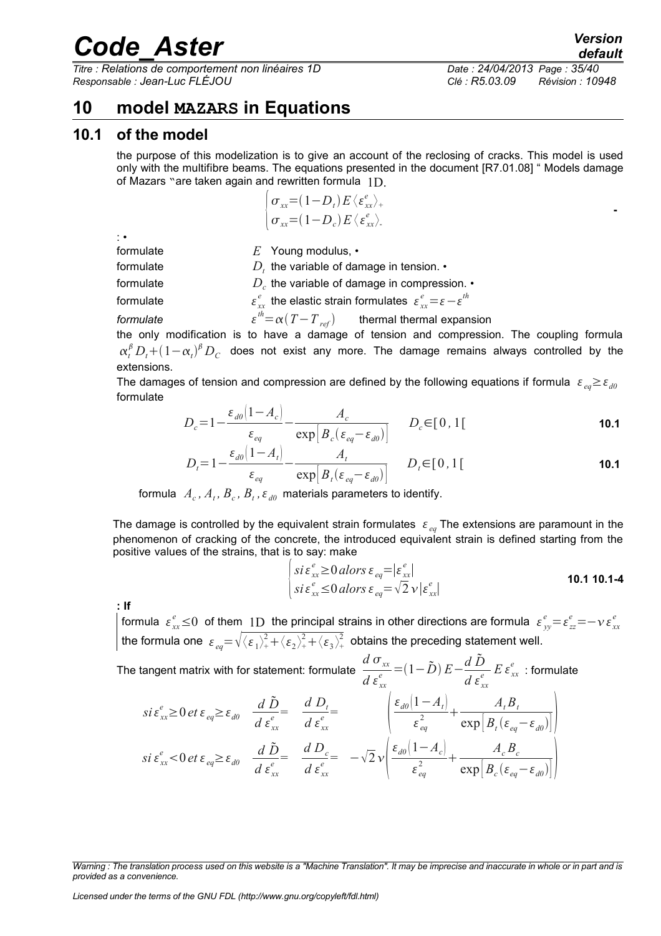*Titre : Relations de comportement non linéaires 1D Date : 24/04/2013 Page : 35/40 Responsable : Jean-Luc FLÉJOU Clé : R5.03.09 Révision : 10948*

## <span id="page-34-0"></span>**10 model MAZARS in Equations**

### **10.1 of the model**

<span id="page-34-1"></span>the purpose of this modelization is to give an account of the reclosing of cracks. This model is used only with the multifibre beams. The equations presented in the document [R7.01.08] " Models damage of Mazars "are taken again and rewritten formula 1D.

$$
\begin{cases} \sigma_{xx} = (1 - D_t) E \langle \varepsilon_{xx}^e \rangle_+ \\ \sigma_{xx} = (1 - D_c) E \langle \varepsilon_{xx}^e \rangle_+ \end{cases}
$$

: •

 $formulate$ 

formulate *E* Young modulus, •

 $D_t$ , the variable of damage in tension.  $\cdot$ 

formulate  $D_c$  the variable of damage in compression.  $\cdot$ 

formulate  $\frac{e}{\alpha x}$  the elastic strain formulates  $\frac{e}{\alpha x}$  =  $\frac{e}{\epsilon}-\frac{e}{\alpha h}$ 

*formulate*  $\varepsilon^{\frac{m}{H}} = \alpha(T - T_{ref})$  thermal thermal expansion

the only modification is to have a damage of tension and compression. The coupling formula  $\alpha_t^{\beta}D_t+(1-\alpha_t)^{\beta}D_C$  does not exist any more. The damage remains always controlled by the extensions.

The damages of tension and compression are defined by the following equations if formula  $\varepsilon_{eq} \geq \varepsilon_{dd}$ formulate

$$
D_c = 1 - \frac{\varepsilon_{d0} (1 - A_c)}{\varepsilon_{eq}} - \frac{A_c}{\exp[B_c(\varepsilon_{eq} - \varepsilon_{d0})]} \qquad D_c \in [0, 1[
$$

$$
D_{t} = 1 - \frac{\varepsilon_{d0} (1 - A_{t})}{\varepsilon_{eq}} - \frac{A_{t}}{\exp[B_{t}(\varepsilon_{eq} - \varepsilon_{d0})]} \qquad D_{t} \in [0, 1[
$$

formula  $A_c$ ,  $A_t$ ,  $B_c$ ,  $B_t$ ,  $\varepsilon_{d0}$  materials parameters to identify.

The damage is controlled by the equivalent strain formulates  $\varepsilon_{eq}$  The extensions are paramount in the phenomenon of cracking of the concrete, the introduced equivalent strain is defined starting from the positive values of the strains, that is to say: make

$$
\begin{cases}\n\text{si } \varepsilon_{xx}^e \ge 0 \text{ alors } \varepsilon_{eq} = |\varepsilon_{xx}^e| \\
\text{si } \varepsilon_{xx}^e \le 0 \text{ alors } \varepsilon_{eq} = \sqrt{2} \nu |\varepsilon_{xx}^e|\n\end{cases}
$$
\n**10.1 10.1-4**

**: If**

 $f$  formula  $\epsilon_{xx}^e \le 0$  of them 1D the principal strains in other directions are formula  $\epsilon_{yy}^e = \epsilon_{zz}^e = -\nu \epsilon_{xx}^e$ the formula one  $\sqrt{\epsilon_{eq}} = \sqrt{\langle \epsilon_1 \rangle_+^2 + \langle \epsilon_2 \rangle_+^2 + \langle \epsilon_3 \rangle_+^2}$  obtains the preceding statement well.

The tangent matrix with for statement: formulate  $\frac{d\sigma_{xx}}{dx}$  $d\ \varepsilon_{xx}^e$  $\int_{e}^{\tau_{xx}}$  = (1 –  $\tilde{D}$ )  $E - \frac{d \tilde{D}}{d e^{e}}$  $\frac{d}{d}\frac{D}{\varepsilon_{xx}^e}E\, \varepsilon_{xx}^e$  : formulate

$$
si \varepsilon_{xx}^{e} \ge 0 \text{ et } \varepsilon_{eq} \ge \varepsilon_{d0} \quad \frac{d \tilde{D}}{d \varepsilon_{xx}^{e}} = \frac{d D_{t}}{d \varepsilon_{xx}^{e}} = \frac{d D_{t}}{\varepsilon_{xx}^{e}} = \frac{d D_{t}}{\varepsilon_{xx}^{e}} = \frac{d \varepsilon_{d0} (1 - A_{t})}{\varepsilon_{eq}^{2}} + \frac{A_{t} B_{t}}{\exp \left[ B_{t} (\varepsilon_{eq} - \varepsilon_{d0}) \right]}
$$
  

$$
si \varepsilon_{xx}^{e} < 0 \text{ et } \varepsilon_{eq} \ge \varepsilon_{d0} \quad \frac{d \tilde{D}}{d \varepsilon_{xx}^{e}} = \frac{d D_{c}}{d \varepsilon_{xx}^{e}} - \sqrt{2} \nu \left( \frac{\varepsilon_{d0} (1 - A_{c})}{\varepsilon_{eq}^{2}} + \frac{A_{c} B_{c}}{\exp \left[ B_{c} (\varepsilon_{eq} - \varepsilon_{d0}) \right]} \right)
$$

*Licensed under the terms of the GNU FDL (http://www.gnu.org/copyleft/fdl.html)*

**-** 

*Warning : The translation process used on this website is a "Machine Translation". It may be imprecise and inaccurate in whole or in part and is provided as a convenience.*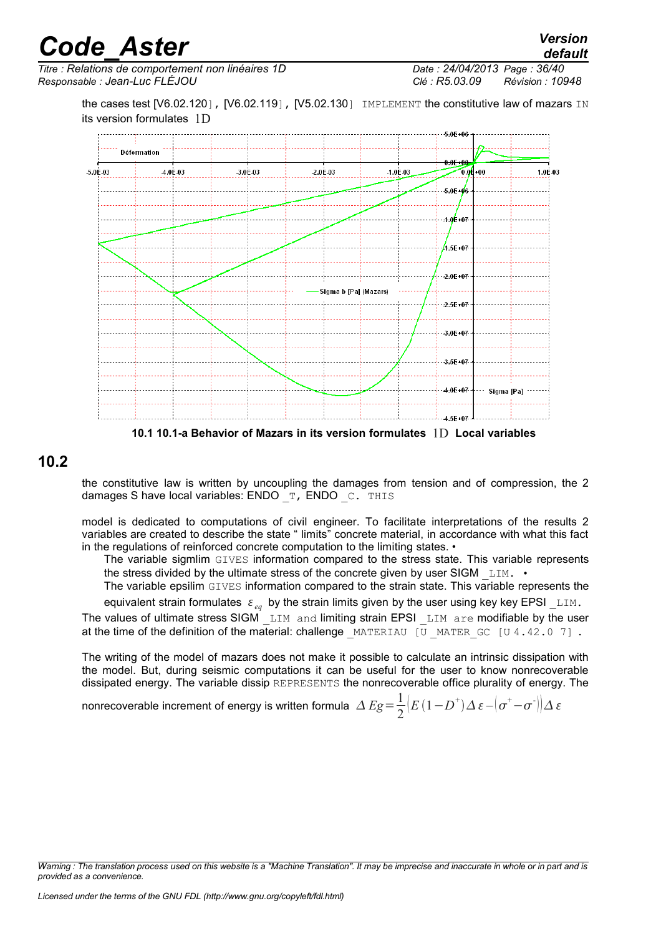*Titre : Relations de comportement non linéaires 1D Date : 24/04/2013 Page : 36/40 Responsable : Jean-Luc FLÉJOU Clé : R5.03.09 Révision : 10948*

the cases test [V6.02.120], [V6.02.119], [V5.02.130] IMPLEMENT the constitutive law of mazars IN its version formulates 1D



**10.1 10.1-a Behavior of Mazars in its version formulates** 1D **Local variables**

### **10.2**

<span id="page-35-0"></span>the constitutive law is written by uncoupling the damages from tension and of compression, the 2 damages S have local variables: ENDO  $T$ , ENDO C. THIS

model is dedicated to computations of civil engineer. To facilitate interpretations of the results 2 variables are created to describe the state " limits" concrete material, in accordance with what this fact in the regulations of reinforced concrete computation to the limiting states. •

The variable sigmlim GIVES information compared to the stress state. This variable represents the stress divided by the ultimate stress of the concrete given by user SIGM  $LIM.$ .

The variable epsilim GIVES information compared to the strain state. This variable represents the equivalent strain formulates  $\varepsilon_{eq}$  by the strain limits given by the user using key key EPSI LIM.

The values of ultimate stress SIGM  $\overline{LIM}$  and limiting strain EPSI  $\overline{LIM}$  are modifiable by the user at the time of the definition of the material: challenge MATERIAU [U MATER GC [U 4.42.0 7].

The writing of the model of mazars does not make it possible to calculate an intrinsic dissipation with the model. But, during seismic computations it can be useful for the user to know nonrecoverable dissipated energy. The variable dissip REPRESENTS the nonrecoverable office plurality of energy. The

nonrecoverable increment of energy is written formula  $\Delta$   $E$ g $=$  $\frac{1}{2}$ 2  $\left| E \left( 1\!-\!D^{\^{+}} \right) \!\! \varDelta \, \varepsilon \!-\!\! \left| \sigma^{\text{+}} \!-\! \sigma^{\text{-}} \right| \right] \!\! \varDelta \, \varepsilon$ 

*Warning : The translation process used on this website is a "Machine Translation". It may be imprecise and inaccurate in whole or in part and is provided as a convenience.*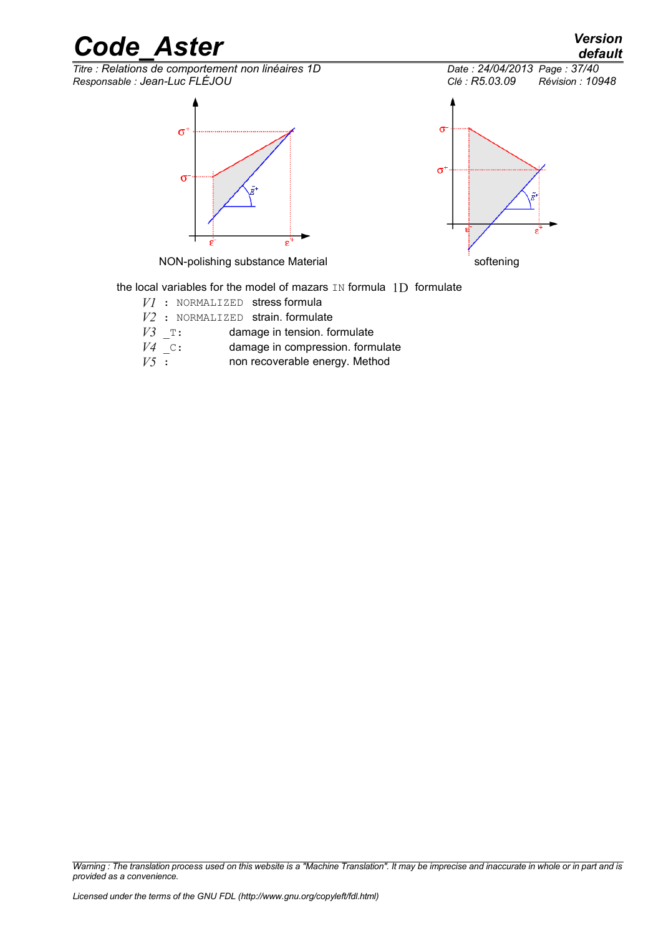$Titre: Relations de comportement non linéaires 1D$ </u> *Responsable : Jean-Luc FLÉJOU Clé : R5.03.09 Révision : 10948*





NON-polishing substance Material softening in the softening

the local variables for the model of mazars  $IN$  formula  $1D$  formulate

- *V1* : NORMALIZED stress formula
- *V2* : NORMALIZED strain. formulate
	-
- $V3$   $\_\mathbb{T}$ : damage in tension. formulate  $V4$   $\_\mathbb{C}$ : damage in compression. form damage in compression. formulate
- *V5* : non recoverable energy. Method

*Warning : The translation process used on this website is a "Machine Translation". It may be imprecise and inaccurate in whole or in part and is provided as a convenience.*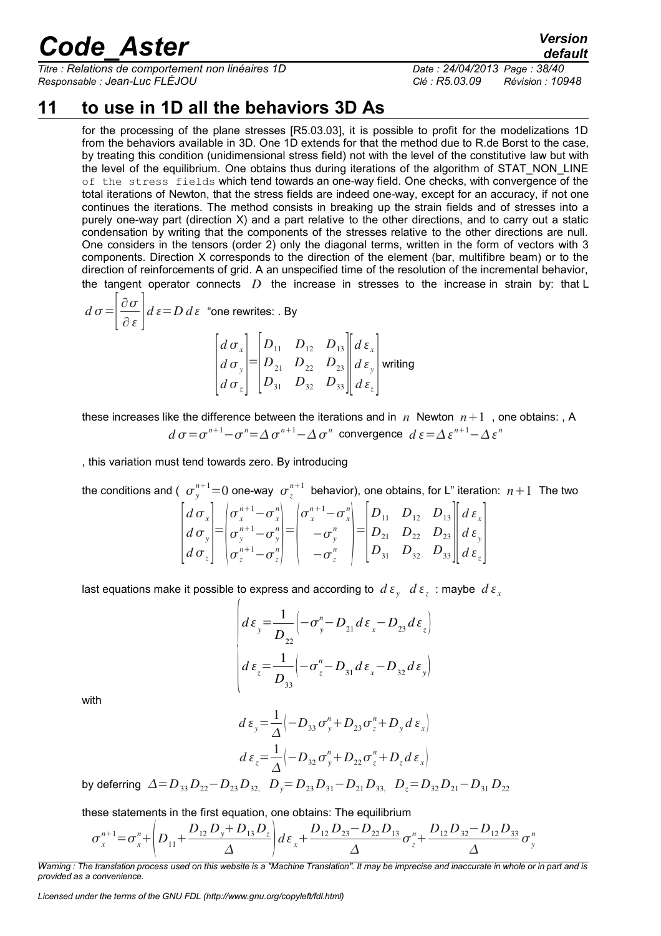*Titre : Relations de comportement non linéaires 1D Date : 24/04/2013 Page : 38/40 Responsable : Jean-Luc FLÉJOU Clé : R5.03.09 Révision : 10948*

*default*

## **11 to use in 1D all the behaviors 3D As**

<span id="page-37-0"></span>for the processing of the plane stresses [R5.03.03], it is possible to profit for the modelizations 1D from the behaviors available in 3D. One 1D extends for that the method due to R.de Borst to the case, by treating this condition (unidimensional stress field) not with the level of the constitutive law but with the level of the equilibrium. One obtains thus during iterations of the algorithm of STAT\_NON\_LINE of the stress fields which tend towards an one-way field. One checks, with convergence of the total iterations of Newton, that the stress fields are indeed one-way, except for an accuracy, if not one continues the iterations. The method consists in breaking up the strain fields and of stresses into a purely one-way part (direction X) and a part relative to the other directions, and to carry out a static condensation by writing that the components of the stresses relative to the other directions are null. One considers in the tensors (order 2) only the diagonal terms, written in the form of vectors with 3 components. Direction X corresponds to the direction of the element (bar, multifibre beam) or to the direction of reinforcements of grid. A an unspecified time of the resolution of the incremental behavior, the tangent operator connects *D* the increase in stresses to the increase in strain by: that L

$$
d \sigma = \left[\frac{\partial \sigma}{\partial \varepsilon}\right] d \varepsilon = D d \varepsilon \text{ "one rewrites: By}
$$

$$
\begin{bmatrix} d \sigma_x \\ d \sigma_y \\ d \sigma_z \end{bmatrix} = \begin{bmatrix} D_{11} & D_{12} & D_{13} \\ D_{21} & D_{22} & D_{23} \\ D_{31} & D_{32} & D_{33} \end{bmatrix} \begin{bmatrix} d \varepsilon \\ d \varepsilon \\ d \varepsilon \end{bmatrix}
$$

these increases like the difference between the iterations and in  $n$  Newton  $n+1$ , one obtains:, A  $d\ \sigma\!=\!\sigma^{n+1}\!-\!\sigma^n\!=\!\Delta\,\sigma^{n+1}\!-\!\Delta\,\sigma^n$  convergence  $d\ \varepsilon\!=\!\Delta\,\varepsilon^{n+1}\!-\!\Delta\,\varepsilon^n$ 

 $d\,\varepsilon_{\rm x}$ 

 $\left|\frac{d\,\varepsilon_{_y}}{d\,\varepsilon_{_z}}\right|$  wr

writing

, this variation must tend towards zero. By introducing

the conditions and (  $\sigma^{n+1}_y$  = 0 one-way  $\sigma^{n+1}_z$  behavior), one obtains, for L" iteration:  $n+1$  The two  $\vert_{d}$  $d\sigma_x$  $\begin{bmatrix} d & \sigma_y \\ d & \sigma_z \end{bmatrix} =$ =  $\Big|_{\alpha}$  $\sigma_x^{n+1}$  –  $\sigma_x^n$  $\sigma_{y}^{n+1}$  –  $\sigma_{y}^{n}$  $\sigma_z^{n+1}$  –  $\sigma_z^n$  | | =  $\mathbf{I}$  $\sigma_{x}^{n+1}$  –  $\sigma_{x}^{n}$  $-\sigma_y^n$  $-\sigma_z^{\overline{n}}$  | | =  $\vert_{D}$  $D_{11}$   $D_{12}$   $D_{13}$  $D_{21}$   $D_{22}$   $D_{23}$  $D_{31}$   $D_{32}$   $D_{33}$   $d_3$  $d\,\varepsilon_{\rm x}$  $\left. d \, \epsilon_{y} \right|$ 

last equations make it possible to express and according to  $d\,\varepsilon_{_y}$   $\,d\,\varepsilon_{_z}$  : maybe  $\,d\,\varepsilon_{_x}$ 

$$
\begin{vmatrix} d\varepsilon_y = \frac{1}{D_{22}} \left( -\sigma_y^n - D_{21} d\varepsilon_x - D_{23} d\varepsilon_z \right) \\ d\varepsilon_z = \frac{1}{D_{33}} \left( -\sigma_z^n - D_{31} d\varepsilon_x - D_{32} d\varepsilon_y \right) \end{vmatrix}
$$

with

$$
d\varepsilon_y = \frac{1}{\Delta} \left( -D_{33} \sigma_y^n + D_{23} \sigma_z^n + D_y d \varepsilon_x \right)
$$
  

$$
d\varepsilon_z = \frac{1}{\Delta} \left( -D_{32} \sigma_y^n + D_{22} \sigma_z^n + D_z d \varepsilon_x \right)
$$
  

$$
-D_{22} D_{23} \sigma_z^2 - D_{24} D_{23} \sigma_z^2 - D_{25} D_{24} - D_{25} D_{25} - D_{26} D_{27}
$$

 $D_3$  *D*<sub>22</sub>  $D_2$ <sub>23</sub>  $D_{22} - D_{23} D_{32}$ ,  $D_y = D_{23} D_{31} - D_{21} D_{33}$ ,  $D_z = D_{32} D_{21} - D_{31} D_{22}$ 

these statements in the first equation, one obtains: The equilibrium

$$
\sigma_x^{n+1} = \sigma_x^n + \left(D_{11} + \frac{D_{12}D_y + D_{13}D_z}{\Delta}\right) d\epsilon_x + \frac{D_{12}D_{23} - D_{22}D_{13}}{\Delta} \sigma_z^n + \frac{D_{12}D_{32} - D_{12}D_{33}}{\Delta} \sigma_y^n
$$

*Warning : The translation process used on this website is a "Machine Translation". It may be imprecise and inaccurate in whole or in part and is provided as a convenience.*

*Licensed under the terms of the GNU FDL (http://www.gnu.org/copyleft/fdl.html)*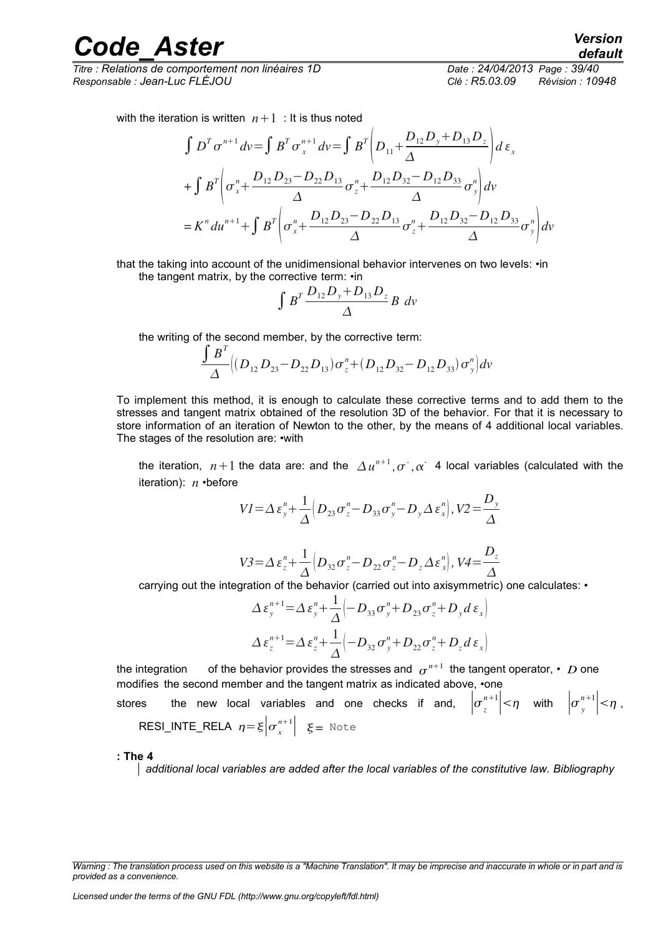*Titre : Relations de comportement non linéaires 1D Date : 24/04/2013 Page : 39/40 Responsable : Jean-Luc FLÉJOU Clé : R5.03.09 Révision : 10948*

$$
\int D^T \sigma^{n+1} dv = \int B^T \sigma_x^{n+1} dv = \int B^T \left( D_{11} + \frac{D_{12} D_y + D_{13} D_z}{\Delta} \right) d \varepsilon_x
$$
  
+ 
$$
\int B^T \left( \sigma_x^n + \frac{D_{12} D_{23} - D_{22} D_{13}}{\Delta} \sigma_z^n + \frac{D_{12} D_{32} - D_{12} D_{33}}{\Delta} \sigma_y^n \right) dv
$$
  
= 
$$
K^n du^{n+1} + \int B^T \left( \sigma_x^n + \frac{D_{12} D_{23} - D_{22} D_{13}}{\Delta} \sigma_z^n + \frac{D_{12} D_{32} - D_{12} D_{33}}{\Delta} \sigma_y^n \right) dv
$$

that the taking into account of the unidimensional behavior intervenes on two levels: •in the tangent matrix, by the corrective term: •in

$$
\int B^T \frac{D_{12}D_y + D_{13}D_z}{\Delta} B \ dv
$$

the writing of the second member, by the corrective term:

$$
\frac{\int B^T}{\Delta} \Big((D_{12}D_{23}-D_{22}D_{13})\sigma_z'' + (D_{12}D_{32}-D_{12}D_{33})\sigma_y''\Big)dv
$$

To implement this method, it is enough to calculate these corrective terms and to add them to the stresses and tangent matrix obtained of the resolution 3D of the behavior. For that it is necessary to store information of an iteration of Newton to the other, by the means of 4 additional local variables. The stages of the resolution are: •with

the iteration,  $n+1$  the data are: and the  $\varDelta u^{n+1}, \sigma^{\text{-}}, \alpha^{\text{-}}$  4 local variables (calculated with the iteration): *n* •before

$$
VI = \Delta \varepsilon_y^n + \frac{1}{\Delta} \Big( D_{23} \sigma_z^n - D_{33} \sigma_y^n - D_y \Delta \varepsilon_x^n \Big), V2 = \frac{D_y}{\Delta}
$$

$$
V3 = \Delta \varepsilon_z^n + \frac{1}{\Delta} \Big( D_{32} \sigma_z^n - D_{22} \sigma_z^n - D_z \Delta \varepsilon_x^n \Big), V4 = \frac{D_z}{\Delta}
$$

carrying out the integration of the behavior (carried out into axisymmetric) one calculates: •

$$
\Delta \varepsilon_{y}^{n+1} = \Delta \varepsilon_{y}^{n} + \frac{1}{\Delta} \Biggl( -D_{33} \sigma_{y}^{n} + D_{23} \sigma_{z}^{n} + D_{y} d \varepsilon_{x} \Biggr)
$$

$$
\Delta \varepsilon_{z}^{n+1} = \Delta \varepsilon_{z}^{n} + \frac{1}{\Delta} \Biggl( -D_{32} \sigma_{y}^{n} + D_{22} \sigma_{z}^{n} + D_{z} d \varepsilon_{x} \Biggr)
$$

the integration so of the behavior provides the stresses and  $\sigma^{n+1}$  the tangent operator,  $\bm{\cdot}$  D one modifies the second member and the tangent matrix as indicated above, •one

stores the new local variables and one checks if and,  $\left| \frac{n+1}{z} \right|$  <  $\eta$  with  $\left| \sigma^n_{y} \right|$  $\left|<\eta\right|<\eta$ ,  $\textsf{RESI\_INTE\_RELA}$   $\eta = \xi \left| \sigma_x^{n+1} \right|$   $\xi = \textsf{Note}$ 

**: The 4** 

*additional local variables are added after the local variables of the constitutive law. Bibliography*

*Warning : The translation process used on this website is a "Machine Translation". It may be imprecise and inaccurate in whole or in part and is provided as a convenience.*